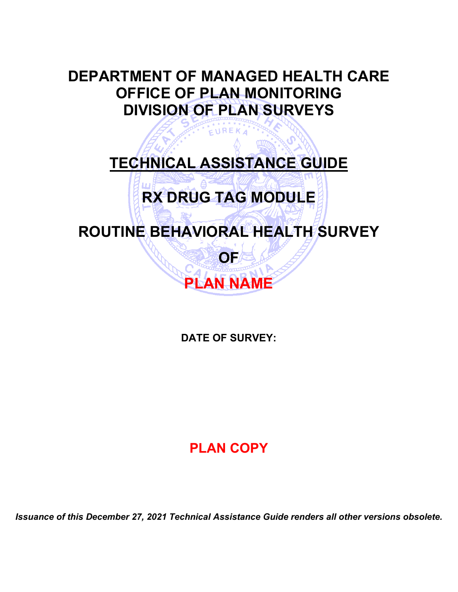## **DEPARTMENT OF MANAGED HEALTH CARE OFFICE OF PLAN MONITORING DIVISION OF PLAN SURVEYS**

## **TECHNICAL ASSISTANCE GUIDE**

EUREKA

# **RX DRUG TAG MODULE**

## **ROUTINE BEHAVIORAL HEALTH SURVEY**

**OF**

**PLAN NAME**

**DATE OF SURVEY:**

## **PLAN COPY**

*Issuance of this December 27, 2021 Technical Assistance Guide renders all other versions obsolete.*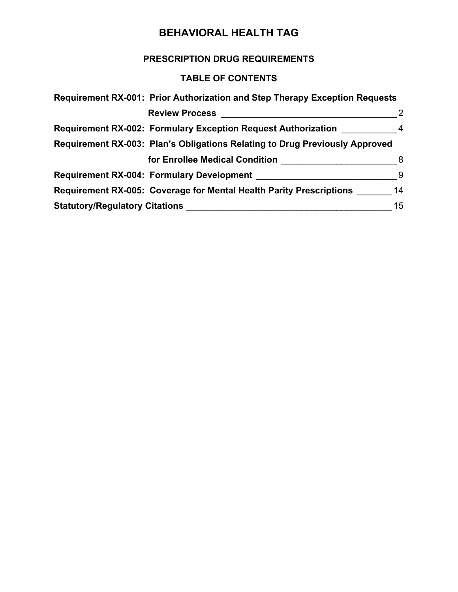### **PRESCRIPTION DRUG REQUIREMENTS**

### **TABLE OF CONTENTS**

|                                       | Requirement RX-001: Prior Authorization and Step Therapy Exception Requests |    |
|---------------------------------------|-----------------------------------------------------------------------------|----|
|                                       | <b>Review Process</b>                                                       |    |
|                                       | <b>Requirement RX-002: Formulary Exception Request Authorization</b>        | 4  |
|                                       | Requirement RX-003: Plan's Obligations Relating to Drug Previously Approved |    |
|                                       | for Enrollee Medical Condition                                              | 8  |
|                                       | <b>Requirement RX-004: Formulary Development</b>                            | 9  |
|                                       | <b>Requirement RX-005: Coverage for Mental Health Parity Prescriptions</b>  | 14 |
| <b>Statutory/Regulatory Citations</b> |                                                                             | 15 |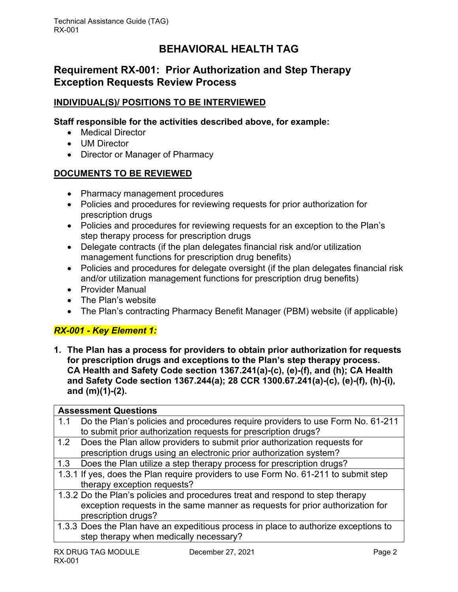### <span id="page-2-0"></span>**Requirement RX-001: Prior Authorization and Step Therapy Exception Requests Review Process**

#### **INDIVIDUAL(S)/ POSITIONS TO BE INTERVIEWED**

#### **Staff responsible for the activities described above, for example:**

- Medical Director
- UM Director
- Director or Manager of Pharmacy

#### **DOCUMENTS TO BE REVIEWED**

- Pharmacy management procedures
- Policies and procedures for reviewing requests for prior authorization for prescription drugs
- Policies and procedures for reviewing requests for an exception to the Plan's step therapy process for prescription drugs
- Delegate contracts (if the plan delegates financial risk and/or utilization management functions for prescription drug benefits)
- Policies and procedures for delegate oversight (if the plan delegates financial risk and/or utilization management functions for prescription drug benefits)
- Provider Manual
- The Plan's website
- The Plan's contracting Pharmacy Benefit Manager (PBM) website (if applicable)

#### *RX-001 - Key Element 1:*

**1. The Plan has a process for providers to obtain prior authorization for requests for prescription drugs and exceptions to the Plan's step therapy process. CA Health and Safety Code section 1367.241(a)-(c), (e)-(f), and (h); CA Health and Safety Code section 1367.244(a); 28 CCR 1300.67.241(a)-(c), (e)-(f), (h)-(i), and (m)(1)-(2).** 

|     | <b>Assessment Questions</b>                                                         |  |
|-----|-------------------------------------------------------------------------------------|--|
| 1.1 | Do the Plan's policies and procedures require providers to use Form No. 61-211      |  |
|     | to submit prior authorization requests for prescription drugs?                      |  |
|     | 1.2 Does the Plan allow providers to submit prior authorization requests for        |  |
|     | prescription drugs using an electronic prior authorization system?                  |  |
|     | 1.3 Does the Plan utilize a step therapy process for prescription drugs?            |  |
|     | 1.3.1 If yes, does the Plan require providers to use Form No. 61-211 to submit step |  |
|     | therapy exception requests?                                                         |  |
|     | 1.3.2 Do the Plan's policies and procedures treat and respond to step therapy       |  |
|     | exception requests in the same manner as requests for prior authorization for       |  |
|     | prescription drugs?                                                                 |  |
|     | 1.3.3 Does the Plan have an expeditious process in place to authorize exceptions to |  |
|     | step therapy when medically necessary?                                              |  |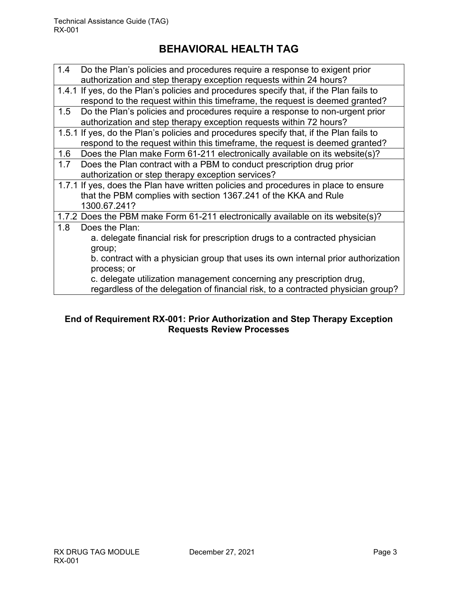| 1.4 | Do the Plan's policies and procedures require a response to exigent prior<br>authorization and step therapy exception requests within 24 hours?                                                                                                                                                                                                                         |
|-----|-------------------------------------------------------------------------------------------------------------------------------------------------------------------------------------------------------------------------------------------------------------------------------------------------------------------------------------------------------------------------|
|     | 1.4.1 If yes, do the Plan's policies and procedures specify that, if the Plan fails to<br>respond to the request within this timeframe, the request is deemed granted?                                                                                                                                                                                                  |
| 1.5 | Do the Plan's policies and procedures require a response to non-urgent prior<br>authorization and step therapy exception requests within 72 hours?                                                                                                                                                                                                                      |
|     | 1.5.1 If yes, do the Plan's policies and procedures specify that, if the Plan fails to<br>respond to the request within this timeframe, the request is deemed granted?                                                                                                                                                                                                  |
| 1.6 | Does the Plan make Form 61-211 electronically available on its website(s)?                                                                                                                                                                                                                                                                                              |
| 1.7 | Does the Plan contract with a PBM to conduct prescription drug prior<br>authorization or step therapy exception services?                                                                                                                                                                                                                                               |
|     | 1.7.1 If yes, does the Plan have written policies and procedures in place to ensure<br>that the PBM complies with section 1367.241 of the KKA and Rule<br>1300.67.241?                                                                                                                                                                                                  |
|     | 1.7.2 Does the PBM make Form 61-211 electronically available on its website(s)?                                                                                                                                                                                                                                                                                         |
| 1.8 | Does the Plan:<br>a. delegate financial risk for prescription drugs to a contracted physician<br>group;<br>b. contract with a physician group that uses its own internal prior authorization<br>process; or<br>c. delegate utilization management concerning any prescription drug,<br>regardless of the delegation of financial risk, to a contracted physician group? |

#### **End of Requirement RX-001: Prior Authorization and Step Therapy Exception Requests Review Processes**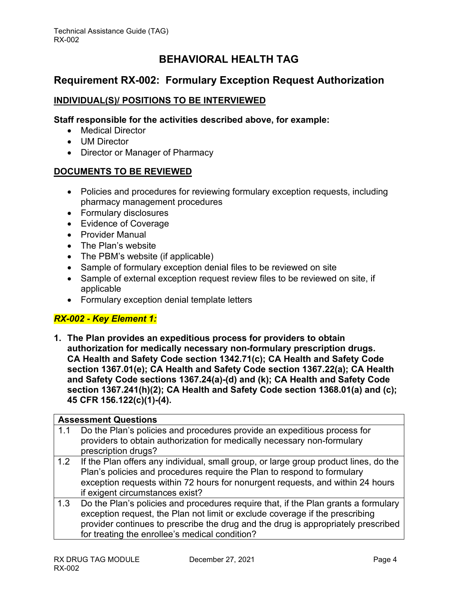### <span id="page-4-0"></span>**Requirement RX-002: Formulary Exception Request Authorization**

#### **INDIVIDUAL(S)/ POSITIONS TO BE INTERVIEWED**

#### **Staff responsible for the activities described above, for example:**

- Medical Director
- UM Director
- Director or Manager of Pharmacy

#### **DOCUMENTS TO BE REVIEWED**

- Policies and procedures for reviewing formulary exception requests, including pharmacy management procedures
- Formulary disclosures
- Evidence of Coverage
- Provider Manual
- The Plan's website
- The PBM's website (if applicable)
- Sample of formulary exception denial files to be reviewed on site
- Sample of external exception request review files to be reviewed on site, if applicable
- Formulary exception denial template letters

#### *RX-002 - Key Element 1:*

**1. The Plan provides an expeditious process for providers to obtain authorization for medically necessary non-formulary prescription drugs. CA Health and Safety Code section 1342.71(c); CA Health and Safety Code section 1367.01(e); CA Health and Safety Code section 1367.22(a); CA Health and Safety Code sections 1367.24(a)-(d) and (k); CA Health and Safety Code section 1367.241(h)(2); CA Health and Safety Code section 1368.01(a) and (c); 45 CFR 156.122(c)(1)-(4).** 

|     | <b>Assessment Questions</b>                                                                                                                                                                                                                                                                               |
|-----|-----------------------------------------------------------------------------------------------------------------------------------------------------------------------------------------------------------------------------------------------------------------------------------------------------------|
| 1.1 | Do the Plan's policies and procedures provide an expeditious process for<br>providers to obtain authorization for medically necessary non-formulary<br>prescription drugs?                                                                                                                                |
| 1.2 | If the Plan offers any individual, small group, or large group product lines, do the<br>Plan's policies and procedures require the Plan to respond to formulary<br>exception requests within 72 hours for nonurgent requests, and within 24 hours<br>if exigent circumstances exist?                      |
| 1.3 | Do the Plan's policies and procedures require that, if the Plan grants a formulary<br>exception request, the Plan not limit or exclude coverage if the prescribing<br>provider continues to prescribe the drug and the drug is appropriately prescribed<br>for treating the enrollee's medical condition? |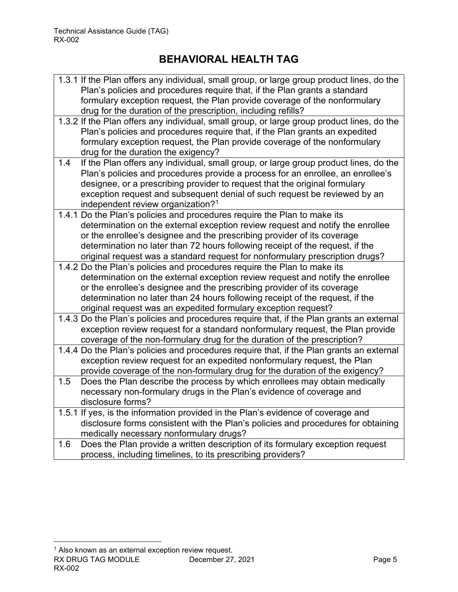<span id="page-5-0"></span>1.3.1 If the Plan offers any individual, small group, or large group product lines, do the Plan's policies and procedures require that, if the Plan grants a standard formulary exception request, the Plan provide coverage of the nonformulary drug for the duration of the prescription, including refills? 1.3.2 If the Plan offers any individual, small group, or large group product lines, do the Plan's policies and procedures require that, if the Plan grants an expedited formulary exception request, the Plan provide coverage of the nonformulary drug for the duration the exigency? 1.4 If the Plan offers any individual, small group, or large group product lines, do the Plan's policies and procedures provide a process for an enrollee, an enrollee's designee, or a prescribing provider to request that the original formulary exception request and subsequent denial of such request be reviewed by an independent review organization?<sup>[1](#page-5-0)</sup> 1.4.1 Do the Plan's policies and procedures require the Plan to make its determination on the external exception review request and notify the enrollee or the enrollee's designee and the prescribing provider of its coverage determination no later than 72 hours following receipt of the request, if the original request was a standard request for nonformulary prescription drugs? 1.4.2 Do the Plan's policies and procedures require the Plan to make its determination on the external exception review request and notify the enrollee or the enrollee's designee and the prescribing provider of its coverage determination no later than 24 hours following receipt of the request, if the original request was an expedited formulary exception request? 1.4.3 Do the Plan's policies and procedures require that, if the Plan grants an external exception review request for a standard nonformulary request, the Plan provide coverage of the non-formulary drug for the duration of the prescription? 1.4.4 Do the Plan's policies and procedures require that, if the Plan grants an external exception review request for an expedited nonformulary request, the Plan provide coverage of the non-formulary drug for the duration of the exigency? 1.5 Does the Plan describe the process by which enrollees may obtain medically necessary non-formulary drugs in the Plan's evidence of coverage and disclosure forms? 1.5.1 If yes, is the information provided in the Plan's evidence of coverage and disclosure forms consistent with the Plan's policies and procedures for obtaining medically necessary nonformulary drugs? 1.6 Does the Plan provide a written description of its formulary exception request process, including timelines, to its prescribing providers?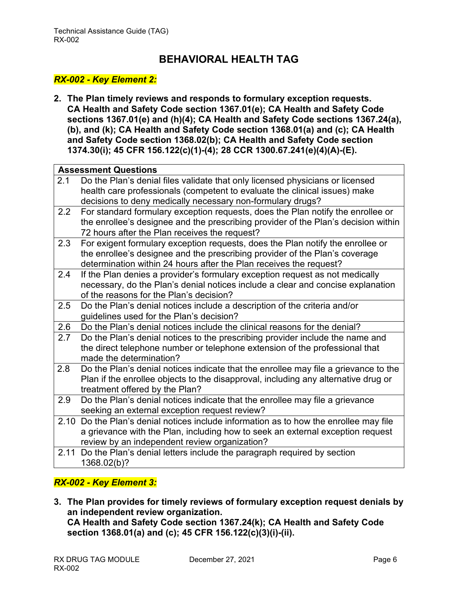#### *RX-002 - Key Element 2:*

**2. The Plan timely reviews and responds to formulary exception requests. CA Health and Safety Code section 1367.01(e); CA Health and Safety Code sections 1367.01(e) and (h)(4); CA Health and Safety Code sections 1367.24(a), (b), and (k); CA Health and Safety Code section 1368.01(a) and (c); CA Health and Safety Code section 1368.02(b); CA Health and Safety Code section 1374.30(i); 45 CFR 156.122(c)(1)-(4); 28 CCR 1300.67.241(e)(4)(A)-(E).** 

|      | <b>Assessment Questions</b>                                                         |  |
|------|-------------------------------------------------------------------------------------|--|
| 2.1  | Do the Plan's denial files validate that only licensed physicians or licensed       |  |
|      | health care professionals (competent to evaluate the clinical issues) make          |  |
|      | decisions to deny medically necessary non-formulary drugs?                          |  |
| 2.2  | For standard formulary exception requests, does the Plan notify the enrollee or     |  |
|      | the enrollee's designee and the prescribing provider of the Plan's decision within  |  |
|      | 72 hours after the Plan receives the request?                                       |  |
| 2.3  | For exigent formulary exception requests, does the Plan notify the enrollee or      |  |
|      | the enrollee's designee and the prescribing provider of the Plan's coverage         |  |
|      | determination within 24 hours after the Plan receives the request?                  |  |
| 2.4  | If the Plan denies a provider's formulary exception request as not medically        |  |
|      | necessary, do the Plan's denial notices include a clear and concise explanation     |  |
|      | of the reasons for the Plan's decision?                                             |  |
| 2.5  | Do the Plan's denial notices include a description of the criteria and/or           |  |
|      | guidelines used for the Plan's decision?                                            |  |
| 2.6  | Do the Plan's denial notices include the clinical reasons for the denial?           |  |
| 2.7  | Do the Plan's denial notices to the prescribing provider include the name and       |  |
|      | the direct telephone number or telephone extension of the professional that         |  |
|      | made the determination?                                                             |  |
| 2.8  | Do the Plan's denial notices indicate that the enrollee may file a grievance to the |  |
|      | Plan if the enrollee objects to the disapproval, including any alternative drug or  |  |
|      | treatment offered by the Plan?                                                      |  |
| 2.9  | Do the Plan's denial notices indicate that the enrollee may file a grievance        |  |
|      | seeking an external exception request review?                                       |  |
| 2.10 | Do the Plan's denial notices include information as to how the enrollee may file    |  |
|      | a grievance with the Plan, including how to seek an external exception request      |  |
|      | review by an independent review organization?                                       |  |
|      | 2.11 Do the Plan's denial letters include the paragraph required by section         |  |
|      | 1368.02(b)?                                                                         |  |

#### *RX-002 - Key Element 3:*

**3. The Plan provides for timely reviews of formulary exception request denials by an independent review organization. CA Health and Safety Code section 1367.24(k); CA Health and Safety Code section 1368.01(a) and (c); 45 CFR 156.122(c)(3)(i)-(ii).**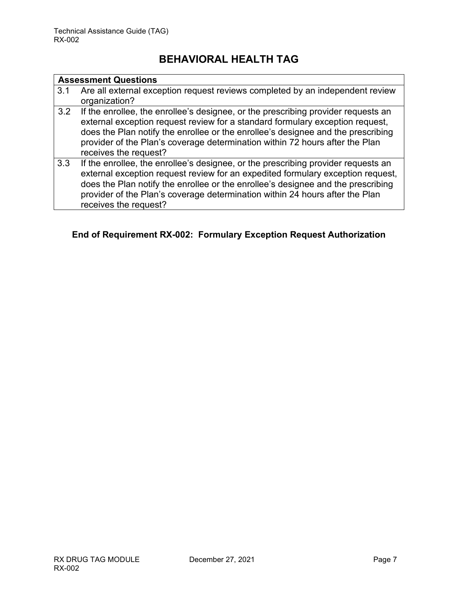|     | <b>Assessment Questions</b>                                                                                                                                                                                                                                                                                                                                       |
|-----|-------------------------------------------------------------------------------------------------------------------------------------------------------------------------------------------------------------------------------------------------------------------------------------------------------------------------------------------------------------------|
| 3.1 | Are all external exception request reviews completed by an independent review<br>organization?                                                                                                                                                                                                                                                                    |
| 3.2 | If the enrollee, the enrollee's designee, or the prescribing provider requests an<br>external exception request review for a standard formulary exception request,<br>does the Plan notify the enrollee or the enrollee's designee and the prescribing<br>provider of the Plan's coverage determination within 72 hours after the Plan<br>receives the request?   |
| 3.3 | If the enrollee, the enrollee's designee, or the prescribing provider requests an<br>external exception request review for an expedited formulary exception request,<br>does the Plan notify the enrollee or the enrollee's designee and the prescribing<br>provider of the Plan's coverage determination within 24 hours after the Plan<br>receives the request? |

#### **End of Requirement RX-002: Formulary Exception Request Authorization**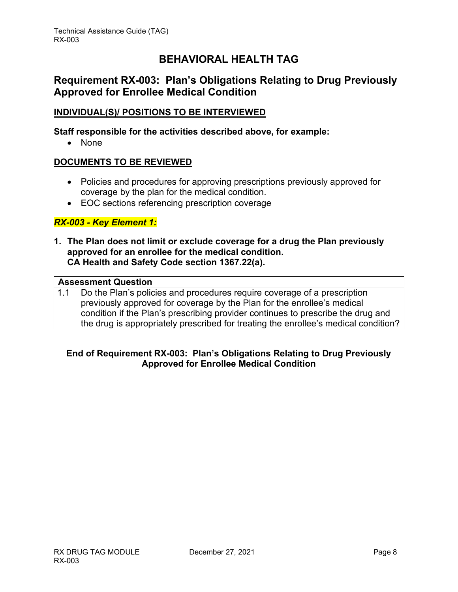### <span id="page-8-0"></span>**Requirement RX-003: Plan's Obligations Relating to Drug Previously Approved for Enrollee Medical Condition**

#### **INDIVIDUAL(S)/ POSITIONS TO BE INTERVIEWED**

#### **Staff responsible for the activities described above, for example:**

• None

#### **DOCUMENTS TO BE REVIEWED**

- Policies and procedures for approving prescriptions previously approved for coverage by the plan for the medical condition.
- EOC sections referencing prescription coverage

#### *RX-003 - Key Element 1:*

**1. The Plan does not limit or exclude coverage for a drug the Plan previously approved for an enrollee for the medical condition. CA Health and Safety Code section 1367.22(a).** 

#### **Assessment Question**

1.1 Do the Plan's policies and procedures require coverage of a prescription previously approved for coverage by the Plan for the enrollee's medical condition if the Plan's prescribing provider continues to prescribe the drug and the drug is appropriately prescribed for treating the enrollee's medical condition?

#### **End of Requirement RX-003: Plan's Obligations Relating to Drug Previously Approved for Enrollee Medical Condition**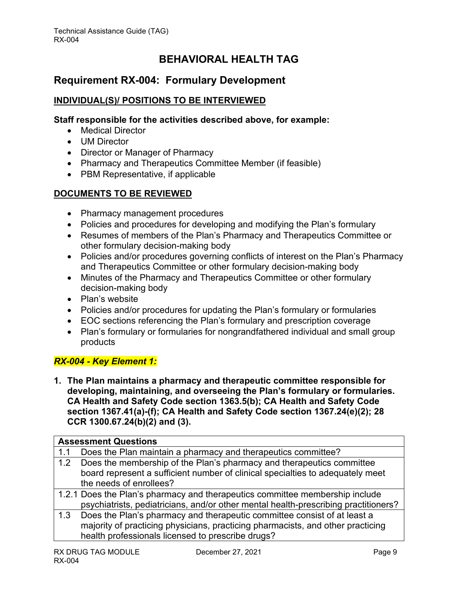### <span id="page-9-0"></span>**Requirement RX-004: Formulary Development**

#### **INDIVIDUAL(S)/ POSITIONS TO BE INTERVIEWED**

#### **Staff responsible for the activities described above, for example:**

- Medical Director
- UM Director
- Director or Manager of Pharmacy
- Pharmacy and Therapeutics Committee Member (if feasible)
- PBM Representative, if applicable

#### **DOCUMENTS TO BE REVIEWED**

- Pharmacy management procedures
- Policies and procedures for developing and modifying the Plan's formulary
- Resumes of members of the Plan's Pharmacy and Therapeutics Committee or other formulary decision-making body
- Policies and/or procedures governing conflicts of interest on the Plan's Pharmacy and Therapeutics Committee or other formulary decision-making body
- Minutes of the Pharmacy and Therapeutics Committee or other formulary decision-making body
- Plan's website
- Policies and/or procedures for updating the Plan's formulary or formularies
- EOC sections referencing the Plan's formulary and prescription coverage
- Plan's formulary or formularies for nongrandfathered individual and small group products

#### *RX-004 - Key Element 1:*

**1. The Plan maintains a pharmacy and therapeutic committee responsible for developing, maintaining, and overseeing the Plan's formulary or formularies. CA Health and Safety Code section 1363.5(b); CA Health and Safety Code section 1367.41(a)-(f); CA Health and Safety Code section 1367.24(e)(2); 28 CCR 1300.67.24(b)(2) and (3).** 

|     | <b>Assessment Questions</b>                                                         |  |
|-----|-------------------------------------------------------------------------------------|--|
| 1.1 | Does the Plan maintain a pharmacy and therapeutics committee?                       |  |
| 1.2 | Does the membership of the Plan's pharmacy and therapeutics committee               |  |
|     | board represent a sufficient number of clinical specialties to adequately meet      |  |
|     | the needs of enrollees?                                                             |  |
|     | 1.2.1 Does the Plan's pharmacy and therapeutics committee membership include        |  |
|     | psychiatrists, pediatricians, and/or other mental health-prescribing practitioners? |  |
| 1.3 | Does the Plan's pharmacy and therapeutic committee consist of at least a            |  |
|     | majority of practicing physicians, practicing pharmacists, and other practicing     |  |
|     | health professionals licensed to prescribe drugs?                                   |  |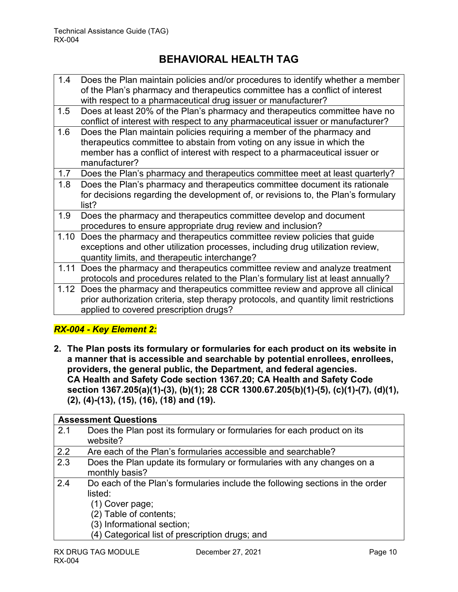| 1.4 | Does the Plan maintain policies and/or procedures to identify whether a member<br>of the Plan's pharmacy and therapeutics committee has a conflict of interest<br>with respect to a pharmaceutical drug issuer or manufacturer?                    |
|-----|----------------------------------------------------------------------------------------------------------------------------------------------------------------------------------------------------------------------------------------------------|
| 1.5 | Does at least 20% of the Plan's pharmacy and therapeutics committee have no<br>conflict of interest with respect to any pharmaceutical issuer or manufacturer?                                                                                     |
| 1.6 | Does the Plan maintain policies requiring a member of the pharmacy and<br>therapeutics committee to abstain from voting on any issue in which the<br>member has a conflict of interest with respect to a pharmaceutical issuer or<br>manufacturer? |
| 1.7 | Does the Plan's pharmacy and therapeutics committee meet at least quarterly?                                                                                                                                                                       |
| 1.8 | Does the Plan's pharmacy and therapeutics committee document its rationale<br>for decisions regarding the development of, or revisions to, the Plan's formulary<br>list?                                                                           |
| 1.9 | Does the pharmacy and therapeutics committee develop and document<br>procedures to ensure appropriate drug review and inclusion?                                                                                                                   |
|     | 1.10 Does the pharmacy and therapeutics committee review policies that quide<br>exceptions and other utilization processes, including drug utilization review,<br>quantity limits, and therapeutic interchange?                                    |
|     | 1.11 Does the pharmacy and therapeutics committee review and analyze treatment<br>protocols and procedures related to the Plan's formulary list at least annually?                                                                                 |
|     | 1.12 Does the pharmacy and therapeutics committee review and approve all clinical<br>prior authorization criteria, step therapy protocols, and quantity limit restrictions<br>applied to covered prescription drugs?                               |

#### *RX-004 - Key Element 2:*

**2. The Plan posts its formulary or formularies for each product on its website in a manner that is accessible and searchable by potential enrollees, enrollees, providers, the general public, the Department, and federal agencies. CA Health and Safety Code section 1367.20; CA Health and Safety Code section 1367.205(a)(1)-(3), (b)(1); 28 CCR 1300.67.205(b)(1)-(5), (c)(1)-(7), (d)(1), (2), (4)-(13), (15), (16), (18) and (19).** 

|     | <b>Assessment Questions</b>                                                                                                                                                                                            |
|-----|------------------------------------------------------------------------------------------------------------------------------------------------------------------------------------------------------------------------|
| 2.1 | Does the Plan post its formulary or formularies for each product on its<br>website?                                                                                                                                    |
|     |                                                                                                                                                                                                                        |
| 2.2 | Are each of the Plan's formularies accessible and searchable?                                                                                                                                                          |
| 2.3 | Does the Plan update its formulary or formularies with any changes on a<br>monthly basis?                                                                                                                              |
| 2.4 | Do each of the Plan's formularies include the following sections in the order<br>listed:<br>(1) Cover page;<br>(2) Table of contents;<br>(3) Informational section;<br>(4) Categorical list of prescription drugs; and |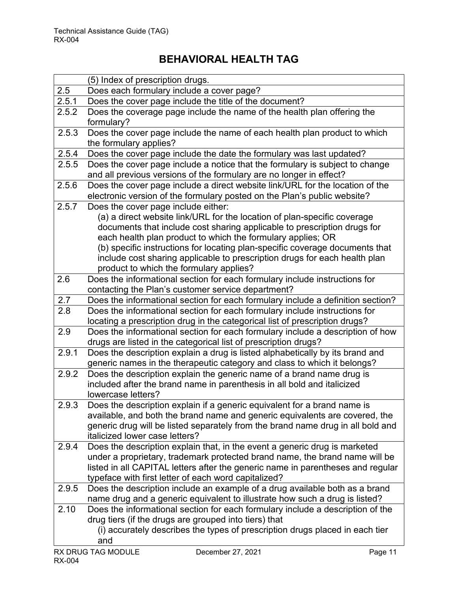|       | (5) Index of prescription drugs.                                                |         |
|-------|---------------------------------------------------------------------------------|---------|
| 2.5   | Does each formulary include a cover page?                                       |         |
| 2.5.1 | Does the cover page include the title of the document?                          |         |
| 2.5.2 | Does the coverage page include the name of the health plan offering the         |         |
|       | formulary?                                                                      |         |
| 2.5.3 | Does the cover page include the name of each health plan product to which       |         |
|       | the formulary applies?                                                          |         |
| 2.5.4 | Does the cover page include the date the formulary was last updated?            |         |
| 2.5.5 | Does the cover page include a notice that the formulary is subject to change    |         |
|       | and all previous versions of the formulary are no longer in effect?             |         |
| 2.5.6 | Does the cover page include a direct website link/URL for the location of the   |         |
|       | electronic version of the formulary posted on the Plan's public website?        |         |
| 2.5.7 | Does the cover page include either:                                             |         |
|       | (a) a direct website link/URL for the location of plan-specific coverage        |         |
|       | documents that include cost sharing applicable to prescription drugs for        |         |
|       | each health plan product to which the formulary applies; OR                     |         |
|       | (b) specific instructions for locating plan-specific coverage documents that    |         |
|       | include cost sharing applicable to prescription drugs for each health plan      |         |
|       | product to which the formulary applies?                                         |         |
| 2.6   | Does the informational section for each formulary include instructions for      |         |
|       | contacting the Plan's customer service department?                              |         |
| 2.7   | Does the informational section for each formulary include a definition section? |         |
| 2.8   | Does the informational section for each formulary include instructions for      |         |
|       | locating a prescription drug in the categorical list of prescription drugs?     |         |
| 2.9   | Does the informational section for each formulary include a description of how  |         |
|       | drugs are listed in the categorical list of prescription drugs?                 |         |
| 2.9.1 | Does the description explain a drug is listed alphabetically by its brand and   |         |
|       | generic names in the therapeutic category and class to which it belongs?        |         |
| 2.9.2 | Does the description explain the generic name of a brand name drug is           |         |
|       | included after the brand name in parenthesis in all bold and italicized         |         |
|       | lowercase letters?                                                              |         |
| 2.9.3 | Does the description explain if a generic equivalent for a brand name is        |         |
|       | available, and both the brand name and generic equivalents are covered, the     |         |
|       | generic drug will be listed separately from the brand name drug in all bold and |         |
|       | italicized lower case letters?                                                  |         |
| 2.9.4 | Does the description explain that, in the event a generic drug is marketed      |         |
|       | under a proprietary, trademark protected brand name, the brand name will be     |         |
|       | listed in all CAPITAL letters after the generic name in parentheses and regular |         |
|       | typeface with first letter of each word capitalized?                            |         |
| 2.9.5 | Does the description include an example of a drug available both as a brand     |         |
|       | name drug and a generic equivalent to illustrate how such a drug is listed?     |         |
| 2.10  | Does the informational section for each formulary include a description of the  |         |
|       | drug tiers (if the drugs are grouped into tiers) that                           |         |
|       | (i) accurately describes the types of prescription drugs placed in each tier    |         |
|       | and                                                                             |         |
|       | RX DRUG TAG MODULE<br>December 27, 2021                                         | Page 11 |
|       |                                                                                 |         |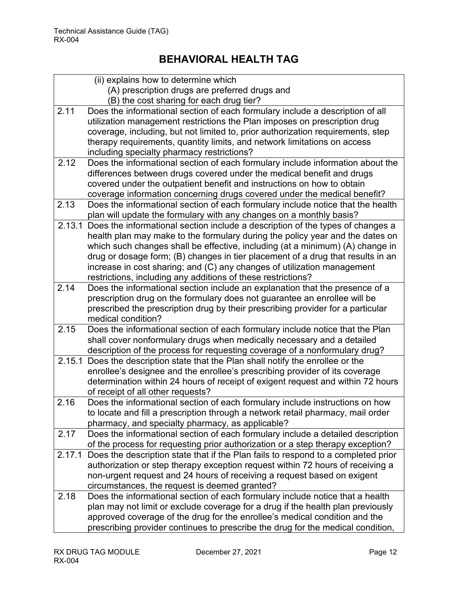|      | (ii) explains how to determine which                                                                                                                                                                                                                                                                                                                                                                                                                                                  |
|------|---------------------------------------------------------------------------------------------------------------------------------------------------------------------------------------------------------------------------------------------------------------------------------------------------------------------------------------------------------------------------------------------------------------------------------------------------------------------------------------|
|      | (A) prescription drugs are preferred drugs and                                                                                                                                                                                                                                                                                                                                                                                                                                        |
|      | (B) the cost sharing for each drug tier?                                                                                                                                                                                                                                                                                                                                                                                                                                              |
| 2.11 | Does the informational section of each formulary include a description of all<br>utilization management restrictions the Plan imposes on prescription drug<br>coverage, including, but not limited to, prior authorization requirements, step<br>therapy requirements, quantity limits, and network limitations on access                                                                                                                                                             |
|      | including specialty pharmacy restrictions?                                                                                                                                                                                                                                                                                                                                                                                                                                            |
| 2.12 | Does the informational section of each formulary include information about the<br>differences between drugs covered under the medical benefit and drugs<br>covered under the outpatient benefit and instructions on how to obtain<br>coverage information concerning drugs covered under the medical benefit?                                                                                                                                                                         |
| 2.13 | Does the informational section of each formulary include notice that the health<br>plan will update the formulary with any changes on a monthly basis?                                                                                                                                                                                                                                                                                                                                |
|      | 2.13.1 Does the informational section include a description of the types of changes a<br>health plan may make to the formulary during the policy year and the dates on<br>which such changes shall be effective, including (at a minimum) (A) change in<br>drug or dosage form; (B) changes in tier placement of a drug that results in an<br>increase in cost sharing; and (C) any changes of utilization management<br>restrictions, including any additions of these restrictions? |
| 2.14 | Does the informational section include an explanation that the presence of a<br>prescription drug on the formulary does not guarantee an enrollee will be<br>prescribed the prescription drug by their prescribing provider for a particular<br>medical condition?                                                                                                                                                                                                                    |
| 2.15 | Does the informational section of each formulary include notice that the Plan<br>shall cover nonformulary drugs when medically necessary and a detailed<br>description of the process for requesting coverage of a nonformulary drug?                                                                                                                                                                                                                                                 |
|      | 2.15.1 Does the description state that the Plan shall notify the enrollee or the<br>enrollee's designee and the enrollee's prescribing provider of its coverage<br>determination within 24 hours of receipt of exigent request and within 72 hours<br>of receipt of all other requests?                                                                                                                                                                                               |
| 2.16 | Does the informational section of each formulary include instructions on how<br>to locate and fill a prescription through a network retail pharmacy, mail order<br>pharmacy, and specialty pharmacy, as applicable?                                                                                                                                                                                                                                                                   |
| 2.17 | Does the informational section of each formulary include a detailed description<br>of the process for requesting prior authorization or a step therapy exception?                                                                                                                                                                                                                                                                                                                     |
|      | 2.17.1 Does the description state that if the Plan fails to respond to a completed prior<br>authorization or step therapy exception request within 72 hours of receiving a<br>non-urgent request and 24 hours of receiving a request based on exigent<br>circumstances, the request is deemed granted?                                                                                                                                                                                |
| 2.18 | Does the informational section of each formulary include notice that a health<br>plan may not limit or exclude coverage for a drug if the health plan previously<br>approved coverage of the drug for the enrollee's medical condition and the<br>prescribing provider continues to prescribe the drug for the medical condition,                                                                                                                                                     |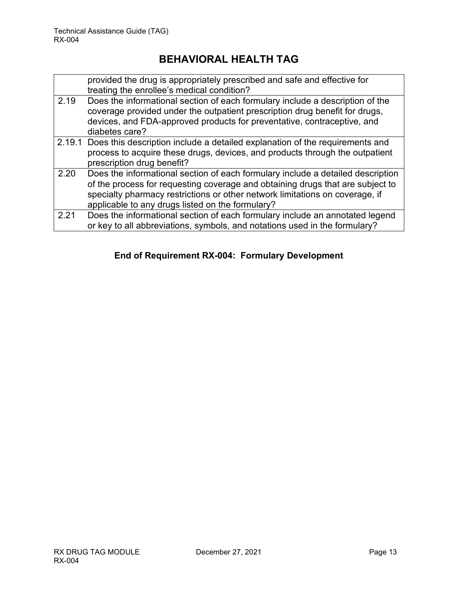|      | provided the drug is appropriately prescribed and safe and effective for<br>treating the enrollee's medical condition?                                                                                                                                                                                |
|------|-------------------------------------------------------------------------------------------------------------------------------------------------------------------------------------------------------------------------------------------------------------------------------------------------------|
| 2.19 | Does the informational section of each formulary include a description of the<br>coverage provided under the outpatient prescription drug benefit for drugs,<br>devices, and FDA-approved products for preventative, contraceptive, and<br>diabetes care?                                             |
|      | 2.19.1 Does this description include a detailed explanation of the requirements and<br>process to acquire these drugs, devices, and products through the outpatient<br>prescription drug benefit?                                                                                                     |
| 2.20 | Does the informational section of each formulary include a detailed description<br>of the process for requesting coverage and obtaining drugs that are subject to<br>specialty pharmacy restrictions or other network limitations on coverage, if<br>applicable to any drugs listed on the formulary? |
| 2.21 | Does the informational section of each formulary include an annotated legend<br>or key to all abbreviations, symbols, and notations used in the formulary?                                                                                                                                            |

### **End of Requirement RX-004: Formulary Development**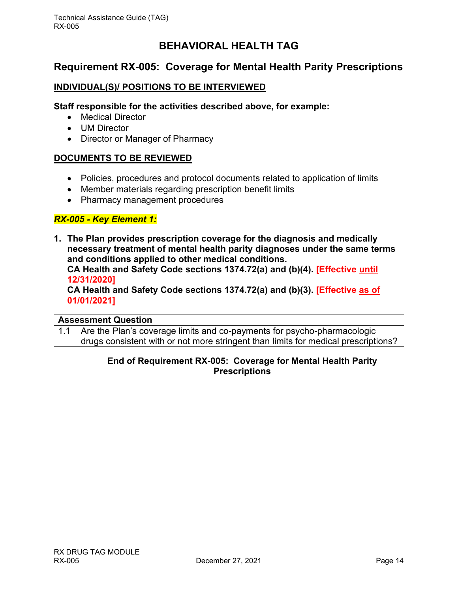### <span id="page-14-0"></span>**Requirement RX-005: Coverage for Mental Health Parity Prescriptions**

#### **INDIVIDUAL(S)/ POSITIONS TO BE INTERVIEWED**

#### **Staff responsible for the activities described above, for example:**

- Medical Director
- UM Director
- Director or Manager of Pharmacy

#### **DOCUMENTS TO BE REVIEWED**

- Policies, procedures and protocol documents related to application of limits
- Member materials regarding prescription benefit limits
- Pharmacy management procedures

#### *RX-005 - Key Element 1:*

**1. The Plan provides prescription coverage for the diagnosis and medically necessary treatment of mental health parity diagnoses under the same terms and conditions applied to other medical conditions.** 

**CA Health and Safety Code sections 1374.72(a) and (b)(4). [Effective until 12/31/2020]**

**CA Health and Safety Code sections 1374.72(a) and (b)(3). [Effective as of 01/01/2021]**

#### **Assessment Question**

1.1 Are the Plan's coverage limits and co-payments for psycho-pharmacologic drugs consistent with or not more stringent than limits for medical prescriptions?

#### **End of Requirement RX-005: Coverage for Mental Health Parity Prescriptions**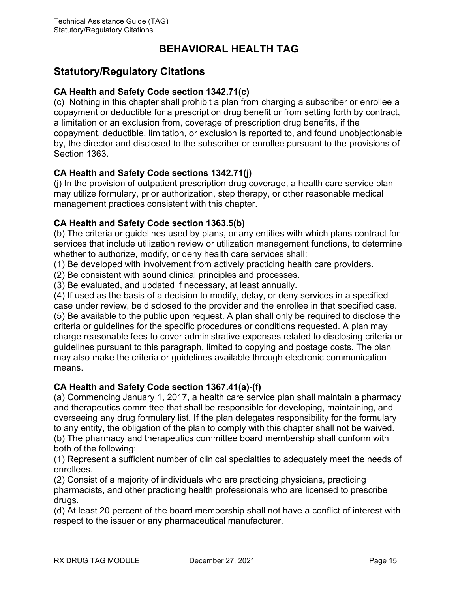### <span id="page-15-0"></span>**Statutory/Regulatory Citations**

#### **CA Health and Safety Code section 1342.71(c)**

(c) Nothing in this chapter shall prohibit a plan from charging a subscriber or enrollee a copayment or deductible for a prescription drug benefit or from setting forth by contract, a limitation or an exclusion from, coverage of prescription drug benefits, if the copayment, deductible, limitation, or exclusion is reported to, and found unobjectionable by, the director and disclosed to the subscriber or enrollee pursuant to the provisions of Section 1363.

#### **CA Health and Safety Code sections 1342.71(j)**

(j) In the provision of outpatient prescription drug coverage, a health care service plan may utilize formulary, prior authorization, step therapy, or other reasonable medical management practices consistent with this chapter.

#### **CA Health and Safety Code section 1363.5(b)**

(b) The criteria or guidelines used by plans, or any entities with which plans contract for services that include utilization review or utilization management functions, to determine whether to authorize, modify, or deny health care services shall:

(1) Be developed with involvement from actively practicing health care providers.

(2) Be consistent with sound clinical principles and processes.

(3) Be evaluated, and updated if necessary, at least annually.

(4) If used as the basis of a decision to modify, delay, or deny services in a specified case under review, be disclosed to the provider and the enrollee in that specified case. (5) Be available to the public upon request. A plan shall only be required to disclose the criteria or guidelines for the specific procedures or conditions requested. A plan may charge reasonable fees to cover administrative expenses related to disclosing criteria or guidelines pursuant to this paragraph, limited to copying and postage costs. The plan may also make the criteria or guidelines available through electronic communication means.

#### **CA Health and Safety Code section 1367.41(a)-(f)**

(a) Commencing January 1, 2017, a health care service plan shall maintain a pharmacy and therapeutics committee that shall be responsible for developing, maintaining, and overseeing any drug formulary list. If the plan delegates responsibility for the formulary to any entity, the obligation of the plan to comply with this chapter shall not be waived. (b) The pharmacy and therapeutics committee board membership shall conform with both of the following:

(1) Represent a sufficient number of clinical specialties to adequately meet the needs of enrollees.

(2) Consist of a majority of individuals who are practicing physicians, practicing pharmacists, and other practicing health professionals who are licensed to prescribe drugs.

(d) At least 20 percent of the board membership shall not have a conflict of interest with respect to the issuer or any pharmaceutical manufacturer.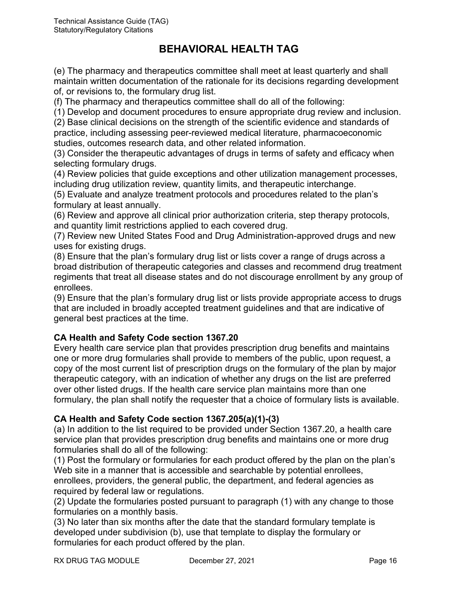(e) The pharmacy and therapeutics committee shall meet at least quarterly and shall maintain written documentation of the rationale for its decisions regarding development of, or revisions to, the formulary drug list.

(f) The pharmacy and therapeutics committee shall do all of the following:

(1) Develop and document procedures to ensure appropriate drug review and inclusion.

(2) Base clinical decisions on the strength of the scientific evidence and standards of practice, including assessing peer-reviewed medical literature, pharmacoeconomic studies, outcomes research data, and other related information.

(3) Consider the therapeutic advantages of drugs in terms of safety and efficacy when selecting formulary drugs.

(4) Review policies that guide exceptions and other utilization management processes, including drug utilization review, quantity limits, and therapeutic interchange.

(5) Evaluate and analyze treatment protocols and procedures related to the plan's formulary at least annually.

(6) Review and approve all clinical prior authorization criteria, step therapy protocols, and quantity limit restrictions applied to each covered drug.

(7) Review new United States Food and Drug Administration-approved drugs and new uses for existing drugs.

(8) Ensure that the plan's formulary drug list or lists cover a range of drugs across a broad distribution of therapeutic categories and classes and recommend drug treatment regiments that treat all disease states and do not discourage enrollment by any group of enrollees.

(9) Ensure that the plan's formulary drug list or lists provide appropriate access to drugs that are included in broadly accepted treatment guidelines and that are indicative of general best practices at the time.

#### **CA Health and Safety Code section 1367.20**

Every health care service plan that provides prescription drug benefits and maintains one or more drug formularies shall provide to members of the public, upon request, a copy of the most current list of prescription drugs on the formulary of the plan by major therapeutic category, with an indication of whether any drugs on the list are preferred over other listed drugs. If the health care service plan maintains more than one formulary, the plan shall notify the requester that a choice of formulary lists is available.

#### **CA Health and Safety Code section 1367.205(a)(1)-(3)**

(a) In addition to the list required to be provided under Section 1367.20, a health care service plan that provides prescription drug benefits and maintains one or more drug formularies shall do all of the following:

(1) Post the formulary or formularies for each product offered by the plan on the plan's Web site in a manner that is accessible and searchable by potential enrollees, enrollees, providers, the general public, the department, and federal agencies as required by federal law or regulations.

(2) Update the formularies posted pursuant to paragraph (1) with any change to those formularies on a monthly basis.

(3) No later than six months after the date that the standard formulary template is developed under subdivision (b), use that template to display the formulary or formularies for each product offered by the plan.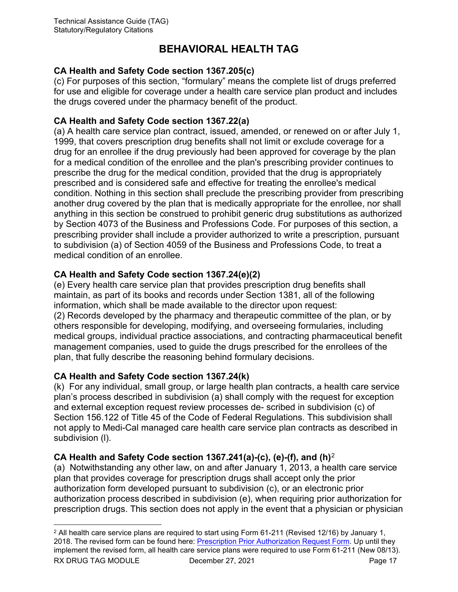#### **CA Health and Safety Code section 1367.205(c)**

(c) For purposes of this section, "formulary" means the complete list of drugs preferred for use and eligible for coverage under a health care service plan product and includes the drugs covered under the pharmacy benefit of the product.

#### **CA Health and Safety Code section 1367.22(a)**

(a) A health care service plan contract, issued, amended, or renewed on or after July 1, 1999, that covers prescription drug benefits shall not limit or exclude coverage for a drug for an enrollee if the drug previously had been approved for coverage by the plan for a medical condition of the enrollee and the plan's prescribing provider continues to prescribe the drug for the medical condition, provided that the drug is appropriately prescribed and is considered safe and effective for treating the enrollee's medical condition. Nothing in this section shall preclude the prescribing provider from prescribing another drug covered by the plan that is medically appropriate for the enrollee, nor shall anything in this section be construed to prohibit generic drug substitutions as authorized by Section 4073 of the Business and Professions Code. For purposes of this section, a prescribing provider shall include a provider authorized to write a prescription, pursuant to subdivision (a) of Section 4059 of the Business and Professions Code, to treat a medical condition of an enrollee.

#### **CA Health and Safety Code section 1367.24(e)(2)**

(e) Every health care service plan that provides prescription drug benefits shall maintain, as part of its books and records under Section 1381, all of the following information, which shall be made available to the director upon request: (2) Records developed by the pharmacy and therapeutic committee of the plan, or by others responsible for developing, modifying, and overseeing formularies, including medical groups, individual practice associations, and contracting pharmaceutical benefit management companies, used to guide the drugs prescribed for the enrollees of the plan, that fully describe the reasoning behind formulary decisions.

#### **CA Health and Safety Code section 1367.24(k)**

(k) For any individual, small group, or large health plan contracts, a health care service plan's process described in subdivision (a) shall comply with the request for exception and external exception request review processes de- scribed in subdivision (c) of Section 156.122 of Title 45 of the Code of Federal Regulations. This subdivision shall not apply to Medi-Cal managed care health care service plan contracts as described in subdivision (l).

#### **CA Health and Safety Code section 1367.241(a)-(c), (e)-(f), and (h)**[2](#page-17-0)

(a) Notwithstanding any other law, on and after January 1, 2013, a health care service plan that provides coverage for prescription drugs shall accept only the prior authorization form developed pursuant to subdivision (c), or an electronic prior authorization process described in subdivision (e), when requiring prior authorization for prescription drugs. This section does not apply in the event that a physician or physician

<span id="page-17-0"></span>RX DRUG TAG MODULE December 27, 2021 Page 17  $2$  All health care service plans are required to start using Form 61-211 (Revised 12/16) by January 1, 2018. The revised form can be found here: [Prescription Prior Authorization Request Form.](http://www.dmhc.ca.gov/Portals/0/HealthCareInCalifornia/ResourcesForHealthCareProviders/Prescription_Prior_Authorization_Request_Form.pdf) Up until they implement the revised form, all health care service plans were required to use Form 61-211 (New 08/13).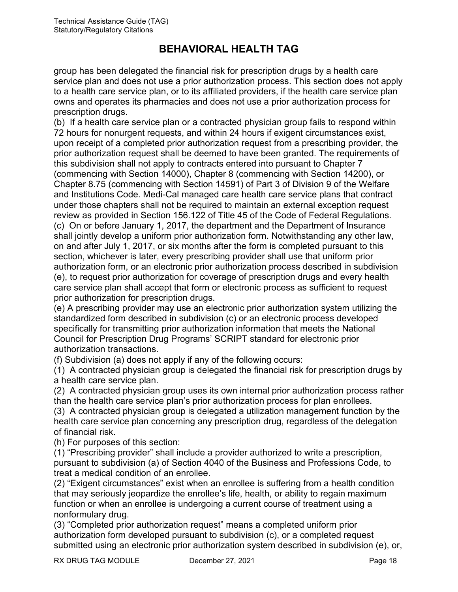group has been delegated the financial risk for prescription drugs by a health care service plan and does not use a prior authorization process. This section does not apply to a health care service plan, or to its affiliated providers, if the health care service plan owns and operates its pharmacies and does not use a prior authorization process for prescription drugs.

(b) If a health care service plan or a contracted physician group fails to respond within 72 hours for nonurgent requests, and within 24 hours if exigent circumstances exist, upon receipt of a completed prior authorization request from a prescribing provider, the prior authorization request shall be deemed to have been granted. The requirements of this subdivision shall not apply to contracts entered into pursuant to Chapter 7 (commencing with Section 14000), Chapter 8 (commencing with Section 14200), or Chapter 8.75 (commencing with Section 14591) of Part 3 of Division 9 of the Welfare and Institutions Code. Medi-Cal managed care health care service plans that contract under those chapters shall not be required to maintain an external exception request review as provided in Section 156.122 of Title 45 of the Code of Federal Regulations. (c) On or before January 1, 2017, the department and the Department of Insurance shall jointly develop a uniform prior authorization form. Notwithstanding any other law, on and after July 1, 2017, or six months after the form is completed pursuant to this section, whichever is later, every prescribing provider shall use that uniform prior authorization form, or an electronic prior authorization process described in subdivision (e), to request prior authorization for coverage of prescription drugs and every health care service plan shall accept that form or electronic process as sufficient to request prior authorization for prescription drugs.

(e) A prescribing provider may use an electronic prior authorization system utilizing the standardized form described in subdivision (c) or an electronic process developed specifically for transmitting prior authorization information that meets the National Council for Prescription Drug Programs' SCRIPT standard for electronic prior authorization transactions.

(f) Subdivision (a) does not apply if any of the following occurs:

(1) A contracted physician group is delegated the financial risk for prescription drugs by a health care service plan.

(2) A contracted physician group uses its own internal prior authorization process rather than the health care service plan's prior authorization process for plan enrollees.

(3) A contracted physician group is delegated a utilization management function by the health care service plan concerning any prescription drug, regardless of the delegation of financial risk.

(h) For purposes of this section:

(1) "Prescribing provider" shall include a provider authorized to write a prescription, pursuant to subdivision (a) of Section 4040 of the Business and Professions Code, to treat a medical condition of an enrollee.

(2) "Exigent circumstances" exist when an enrollee is suffering from a health condition that may seriously jeopardize the enrollee's life, health, or ability to regain maximum function or when an enrollee is undergoing a current course of treatment using a nonformulary drug.

(3) "Completed prior authorization request" means a completed uniform prior authorization form developed pursuant to subdivision (c), or a completed request submitted using an electronic prior authorization system described in subdivision (e), or,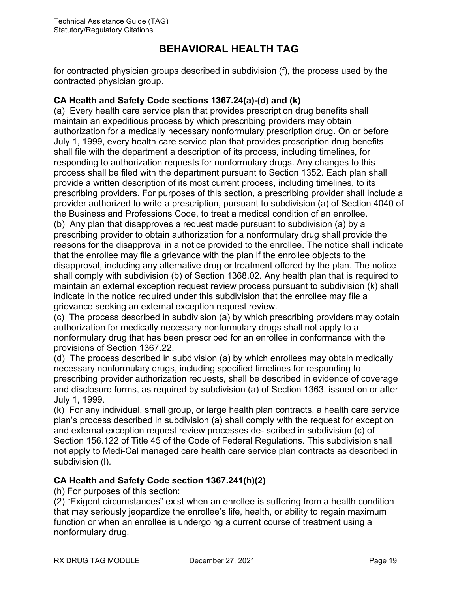for contracted physician groups described in subdivision (f), the process used by the contracted physician group.

#### **CA Health and Safety Code sections 1367.24(a)-(d) and (k)**

(a) Every health care service plan that provides prescription drug benefits shall maintain an expeditious process by which prescribing providers may obtain authorization for a medically necessary nonformulary prescription drug. On or before July 1, 1999, every health care service plan that provides prescription drug benefits shall file with the department a description of its process, including timelines, for responding to authorization requests for nonformulary drugs. Any changes to this process shall be filed with the department pursuant to Section 1352. Each plan shall provide a written description of its most current process, including timelines, to its prescribing providers. For purposes of this section, a prescribing provider shall include a provider authorized to write a prescription, pursuant to subdivision (a) of Section 4040 of the Business and Professions Code, to treat a medical condition of an enrollee. (b) Any plan that disapproves a request made pursuant to subdivision (a) by a prescribing provider to obtain authorization for a nonformulary drug shall provide the reasons for the disapproval in a notice provided to the enrollee. The notice shall indicate that the enrollee may file a grievance with the plan if the enrollee objects to the disapproval, including any alternative drug or treatment offered by the plan. The notice shall comply with subdivision (b) of Section 1368.02. Any health plan that is required to maintain an external exception request review process pursuant to subdivision (k) shall indicate in the notice required under this subdivision that the enrollee may file a grievance seeking an external exception request review.

(c) The process described in subdivision (a) by which prescribing providers may obtain authorization for medically necessary nonformulary drugs shall not apply to a nonformulary drug that has been prescribed for an enrollee in conformance with the provisions of Section 1367.22.

(d) The process described in subdivision (a) by which enrollees may obtain medically necessary nonformulary drugs, including specified timelines for responding to prescribing provider authorization requests, shall be described in evidence of coverage and disclosure forms, as required by subdivision (a) of Section 1363, issued on or after July 1, 1999.

(k) For any individual, small group, or large health plan contracts, a health care service plan's process described in subdivision (a) shall comply with the request for exception and external exception request review processes de- scribed in subdivision (c) of Section 156.122 of Title 45 of the Code of Federal Regulations. This subdivision shall not apply to Medi-Cal managed care health care service plan contracts as described in subdivision (l).

#### **CA Health and Safety Code section 1367.241(h)(2)**

(h) For purposes of this section:

(2) "Exigent circumstances" exist when an enrollee is suffering from a health condition that may seriously jeopardize the enrollee's life, health, or ability to regain maximum function or when an enrollee is undergoing a current course of treatment using a nonformulary drug.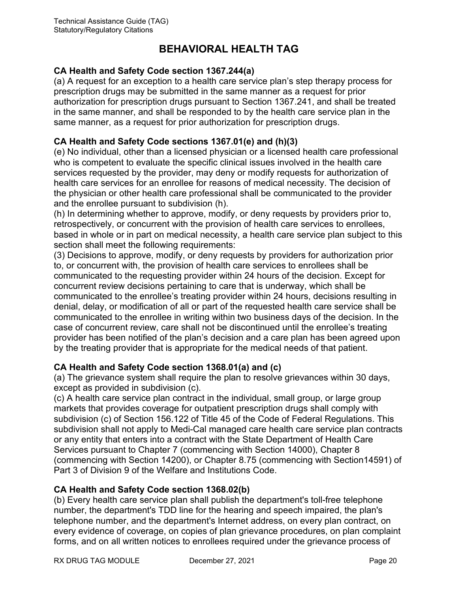#### **CA Health and Safety Code section 1367.244(a)**

(a) A request for an exception to a health care service plan's step therapy process for prescription drugs may be submitted in the same manner as a request for prior authorization for prescription drugs pursuant to Section 1367.241, and shall be treated in the same manner, and shall be responded to by the health care service plan in the same manner, as a request for prior authorization for prescription drugs.

#### **CA Health and Safety Code sections 1367.01(e) and (h)(3)**

(e) No individual, other than a licensed physician or a licensed health care professional who is competent to evaluate the specific clinical issues involved in the health care services requested by the provider, may deny or modify requests for authorization of health care services for an enrollee for reasons of medical necessity. The decision of the physician or other health care professional shall be communicated to the provider and the enrollee pursuant to subdivision (h).

(h) In determining whether to approve, modify, or deny requests by providers prior to, retrospectively, or concurrent with the provision of health care services to enrollees, based in whole or in part on medical necessity, a health care service plan subject to this section shall meet the following requirements:

(3) Decisions to approve, modify, or deny requests by providers for authorization prior to, or concurrent with, the provision of health care services to enrollees shall be communicated to the requesting provider within 24 hours of the decision. Except for concurrent review decisions pertaining to care that is underway, which shall be communicated to the enrollee's treating provider within 24 hours, decisions resulting in denial, delay, or modification of all or part of the requested health care service shall be communicated to the enrollee in writing within two business days of the decision. In the case of concurrent review, care shall not be discontinued until the enrollee's treating provider has been notified of the plan's decision and a care plan has been agreed upon by the treating provider that is appropriate for the medical needs of that patient.

#### **CA Health and Safety Code section 1368.01(a) and (c)**

(a) The grievance system shall require the plan to resolve grievances within 30 days, except as provided in subdivision (c).

(c) A health care service plan contract in the individual, small group, or large group markets that provides coverage for outpatient prescription drugs shall comply with subdivision (c) of Section 156.122 of Title 45 of the Code of Federal Regulations. This subdivision shall not apply to Medi-Cal managed care health care service plan contracts or any entity that enters into a contract with the State Department of Health Care Services pursuant to Chapter 7 (commencing with Section 14000), Chapter 8 (commencing with Section 14200), or Chapter 8.75 (commencing with Section14591) of Part 3 of Division 9 of the Welfare and Institutions Code.

#### **CA Health and Safety Code section 1368.02(b)**

(b) Every health care service plan shall publish the department's toll-free telephone number, the department's TDD line for the hearing and speech impaired, the plan's telephone number, and the department's Internet address, on every plan contract, on every evidence of coverage, on copies of plan grievance procedures, on plan complaint forms, and on all written notices to enrollees required under the grievance process of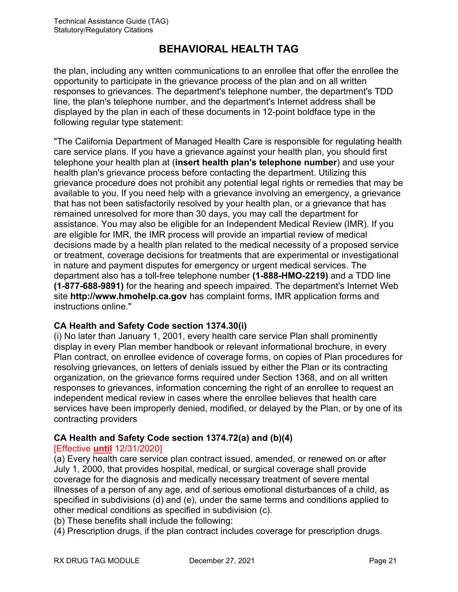the plan, including any written communications to an enrollee that offer the enrollee the opportunity to participate in the grievance process of the plan and on all written responses to grievances. The department's telephone number, the department's TDD line, the plan's telephone number, and the department's Internet address shall be displayed by the plan in each of these documents in 12-point boldface type in the following regular type statement:

"The California Department of Managed Health Care is responsible for regulating health care service plans. If you have a grievance against your health plan, you should first telephone your health plan at (**insert health plan's telephone number**) and use your health plan's grievance process before contacting the department. Utilizing this grievance procedure does not prohibit any potential legal rights or remedies that may be available to you. If you need help with a grievance involving an emergency, a grievance that has not been satisfactorily resolved by your health plan, or a grievance that has remained unresolved for more than 30 days, you may call the department for assistance. You may also be eligible for an Independent Medical Review (IMR). If you are eligible for IMR, the IMR process will provide an impartial review of medical decisions made by a health plan related to the medical necessity of a proposed service or treatment, coverage decisions for treatments that are experimental or investigational in nature and payment disputes for emergency or urgent medical services. The department also has a toll-free telephone number **(1-888-HMO-2219)** and a TDD line **(1-877-688-9891)** for the hearing and speech impaired. The department's Internet Web site **http://www.hmohelp.ca.gov** has complaint forms, IMR application forms and instructions online."

#### **CA Health and Safety Code section 1374.30(i)**

(i) No later than January 1, 2001, every health care service Plan shall prominently display in every Plan member handbook or relevant informational brochure, in every Plan contract, on enrollee evidence of coverage forms, on copies of Plan procedures for resolving grievances, on letters of denials issued by either the Plan or its contracting organization, on the grievance forms required under Section 1368, and on all written responses to grievances, information concerning the right of an enrollee to request an independent medical review in cases where the enrollee believes that health care services have been improperly denied, modified, or delayed by the Plan, or by one of its contracting providers

#### **CA Health and Safety Code section 1374.72(a) and (b)(4)**

#### [Effective **until** 12/31/2020]

(a) Every health care service plan contract issued, amended, or renewed on or after July 1, 2000, that provides hospital, medical, or surgical coverage shall provide coverage for the diagnosis and medically necessary treatment of severe mental illnesses of a person of any age, and of serious emotional disturbances of a child, as specified in subdivisions (d) and (e), under the same terms and conditions applied to other medical conditions as specified in subdivision (c).

(b) These benefits shall include the following:

(4) Prescription drugs, if the plan contract includes coverage for prescription drugs.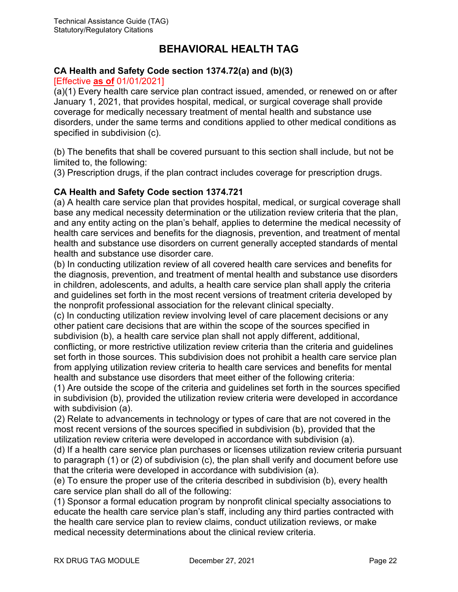#### **CA Health and Safety Code section 1374.72(a) and (b)(3)**

#### [Effective **as of** 01/01/2021]

(a)(1) Every health care service plan contract issued, amended, or renewed on or after January 1, 2021, that provides hospital, medical, or surgical coverage shall provide coverage for medically necessary treatment of mental health and substance use disorders, under the same terms and conditions applied to other medical conditions as specified in subdivision (c).

(b) The benefits that shall be covered pursuant to this section shall include, but not be limited to, the following:

(3) Prescription drugs, if the plan contract includes coverage for prescription drugs.

#### **CA Health and Safety Code section 1374.721**

(a) A health care service plan that provides hospital, medical, or surgical coverage shall base any medical necessity determination or the utilization review criteria that the plan, and any entity acting on the plan's behalf, applies to determine the medical necessity of health care services and benefits for the diagnosis, prevention, and treatment of mental health and substance use disorders on current generally accepted standards of mental health and substance use disorder care.

(b) In conducting utilization review of all covered health care services and benefits for the diagnosis, prevention, and treatment of mental health and substance use disorders in children, adolescents, and adults, a health care service plan shall apply the criteria and guidelines set forth in the most recent versions of treatment criteria developed by the nonprofit professional association for the relevant clinical specialty.

(c) In conducting utilization review involving level of care placement decisions or any other patient care decisions that are within the scope of the sources specified in subdivision (b), a health care service plan shall not apply different, additional,

conflicting, or more restrictive utilization review criteria than the criteria and guidelines set forth in those sources. This subdivision does not prohibit a health care service plan from applying utilization review criteria to health care services and benefits for mental health and substance use disorders that meet either of the following criteria:

(1) Are outside the scope of the criteria and guidelines set forth in the sources specified in subdivision (b), provided the utilization review criteria were developed in accordance with subdivision (a).

(2) Relate to advancements in technology or types of care that are not covered in the most recent versions of the sources specified in subdivision (b), provided that the utilization review criteria were developed in accordance with subdivision (a).

(d) If a health care service plan purchases or licenses utilization review criteria pursuant to paragraph (1) or (2) of subdivision (c), the plan shall verify and document before use that the criteria were developed in accordance with subdivision (a).

(e) To ensure the proper use of the criteria described in subdivision (b), every health care service plan shall do all of the following:

(1) Sponsor a formal education program by nonprofit clinical specialty associations to educate the health care service plan's staff, including any third parties contracted with the health care service plan to review claims, conduct utilization reviews, or make medical necessity determinations about the clinical review criteria.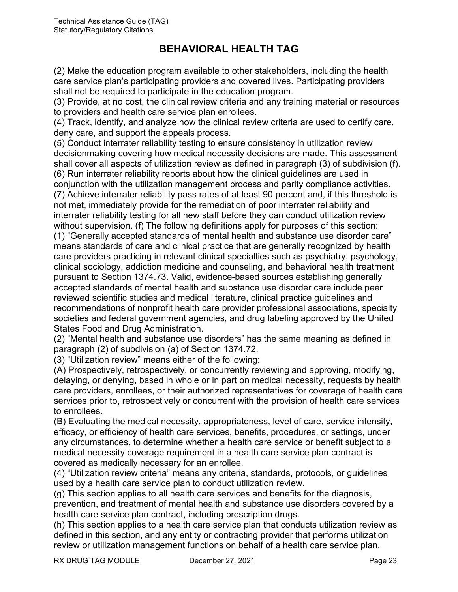(2) Make the education program available to other stakeholders, including the health care service plan's participating providers and covered lives. Participating providers shall not be required to participate in the education program.

(3) Provide, at no cost, the clinical review criteria and any training material or resources to providers and health care service plan enrollees.

(4) Track, identify, and analyze how the clinical review criteria are used to certify care, deny care, and support the appeals process.

(5) Conduct interrater reliability testing to ensure consistency in utilization review decisionmaking covering how medical necessity decisions are made. This assessment shall cover all aspects of utilization review as defined in paragraph (3) of subdivision (f). (6) Run interrater reliability reports about how the clinical guidelines are used in conjunction with the utilization management process and parity compliance activities. (7) Achieve interrater reliability pass rates of at least 90 percent and, if this threshold is not met, immediately provide for the remediation of poor interrater reliability and

interrater reliability testing for all new staff before they can conduct utilization review without supervision. (f) The following definitions apply for purposes of this section:

(1) "Generally accepted standards of mental health and substance use disorder care" means standards of care and clinical practice that are generally recognized by health care providers practicing in relevant clinical specialties such as psychiatry, psychology, clinical sociology, addiction medicine and counseling, and behavioral health treatment pursuant to Section 1374.73. Valid, evidence-based sources establishing generally accepted standards of mental health and substance use disorder care include peer reviewed scientific studies and medical literature, clinical practice guidelines and recommendations of nonprofit health care provider professional associations, specialty societies and federal government agencies, and drug labeling approved by the United States Food and Drug Administration.

(2) "Mental health and substance use disorders" has the same meaning as defined in paragraph (2) of subdivision (a) of Section 1374.72.

(3) "Utilization review" means either of the following:

(A) Prospectively, retrospectively, or concurrently reviewing and approving, modifying, delaying, or denying, based in whole or in part on medical necessity, requests by health care providers, enrollees, or their authorized representatives for coverage of health care services prior to, retrospectively or concurrent with the provision of health care services to enrollees.

(B) Evaluating the medical necessity, appropriateness, level of care, service intensity, efficacy, or efficiency of health care services, benefits, procedures, or settings, under any circumstances, to determine whether a health care service or benefit subject to a medical necessity coverage requirement in a health care service plan contract is covered as medically necessary for an enrollee.

(4) "Utilization review criteria" means any criteria, standards, protocols, or guidelines used by a health care service plan to conduct utilization review.

(g) This section applies to all health care services and benefits for the diagnosis, prevention, and treatment of mental health and substance use disorders covered by a health care service plan contract, including prescription drugs.

(h) This section applies to a health care service plan that conducts utilization review as defined in this section, and any entity or contracting provider that performs utilization review or utilization management functions on behalf of a health care service plan.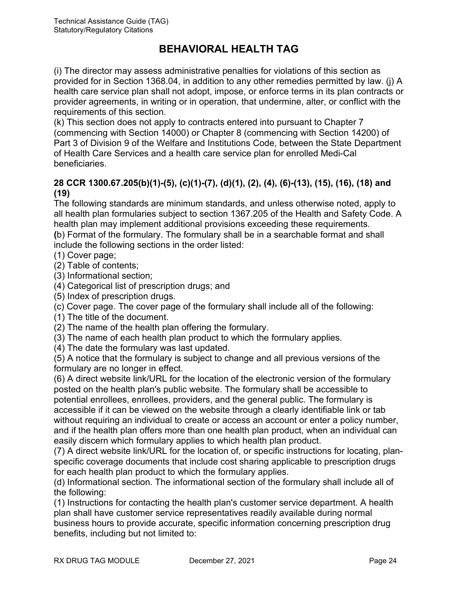(i) The director may assess administrative penalties for violations of this section as provided for in Section 1368.04, in addition to any other remedies permitted by law. (j) A health care service plan shall not adopt, impose, or enforce terms in its plan contracts or provider agreements, in writing or in operation, that undermine, alter, or conflict with the requirements of this section.

(k) This section does not apply to contracts entered into pursuant to Chapter 7 (commencing with Section 14000) or Chapter 8 (commencing with Section 14200) of Part 3 of Division 9 of the Welfare and Institutions Code, between the State Department of Health Care Services and a health care service plan for enrolled Medi-Cal beneficiaries.

#### **28 CCR 1300.67.205(b)(1)-(5), (c)(1)-(7), (d)(1), (2), (4), (6)-(13), (15), (16), (18) and (19)**

The following standards are minimum standards, and unless otherwise noted, apply to all health plan formularies subject to section 1367.205 of the Health and Safety Code. A health plan may implement additional provisions exceeding these requirements.

**(**b) Format of the formulary. The formulary shall be in a searchable format and shall include the following sections in the order listed:

(1) Cover page;

(2) Table of contents;

(3) Informational section;

(4) Categorical list of prescription drugs; and

(5) Index of prescription drugs.

(c) Cover page. The cover page of the formulary shall include all of the following:

(1) The title of the document.

(2) The name of the health plan offering the formulary.

(3) The name of each health plan product to which the formulary applies.

(4) The date the formulary was last updated.

(5) A notice that the formulary is subject to change and all previous versions of the formulary are no longer in effect.

(6) A direct website link/URL for the location of the electronic version of the formulary posted on the health plan's public website. The formulary shall be accessible to potential enrollees, enrollees, providers, and the general public. The formulary is accessible if it can be viewed on the website through a clearly identifiable link or tab without requiring an individual to create or access an account or enter a policy number, and if the health plan offers more than one health plan product, when an individual can easily discern which formulary applies to which health plan product.

(7) A direct website link/URL for the location of, or specific instructions for locating, planspecific coverage documents that include cost sharing applicable to prescription drugs for each health plan product to which the formulary applies.

(d) Informational section. The informational section of the formulary shall include all of the following:

(1) Instructions for contacting the health plan's customer service department. A health plan shall have customer service representatives readily available during normal business hours to provide accurate, specific information concerning prescription drug benefits, including but not limited to: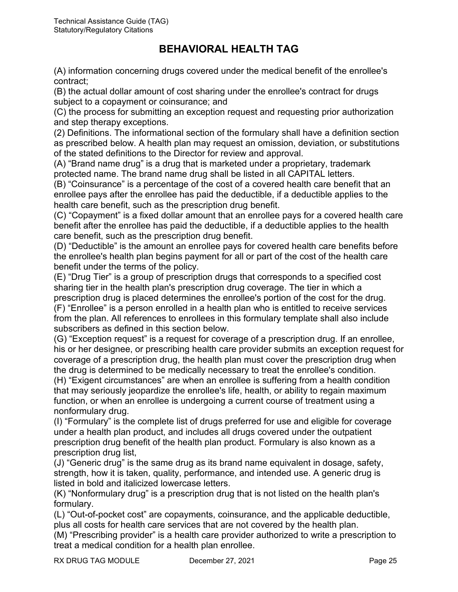(A) information concerning drugs covered under the medical benefit of the enrollee's contract;

(B) the actual dollar amount of cost sharing under the enrollee's contract for drugs subject to a copayment or coinsurance; and

(C) the process for submitting an exception request and requesting prior authorization and step therapy exceptions.

(2) Definitions. The informational section of the formulary shall have a definition section as prescribed below. A health plan may request an omission, deviation, or substitutions of the stated definitions to the Director for review and approval.

(A) "Brand name drug" is a drug that is marketed under a proprietary, trademark protected name. The brand name drug shall be listed in all CAPITAL letters.

(B) "Coinsurance" is a percentage of the cost of a covered health care benefit that an enrollee pays after the enrollee has paid the deductible, if a deductible applies to the health care benefit, such as the prescription drug benefit.

(C) "Copayment" is a fixed dollar amount that an enrollee pays for a covered health care benefit after the enrollee has paid the deductible, if a deductible applies to the health care benefit, such as the prescription drug benefit.

(D) "Deductible" is the amount an enrollee pays for covered health care benefits before the enrollee's health plan begins payment for all or part of the cost of the health care benefit under the terms of the policy.

(E) "Drug Tier" is a group of prescription drugs that corresponds to a specified cost sharing tier in the health plan's prescription drug coverage. The tier in which a prescription drug is placed determines the enrollee's portion of the cost for the drug. (F) "Enrollee" is a person enrolled in a health plan who is entitled to receive services from the plan. All references to enrollees in this formulary template shall also include subscribers as defined in this section below.

(G) "Exception request" is a request for coverage of a prescription drug. If an enrollee, his or her designee, or prescribing health care provider submits an exception request for coverage of a prescription drug, the health plan must cover the prescription drug when the drug is determined to be medically necessary to treat the enrollee's condition.

(H) "Exigent circumstances" are when an enrollee is suffering from a health condition that may seriously jeopardize the enrollee's life, health, or ability to regain maximum function, or when an enrollee is undergoing a current course of treatment using a nonformulary drug.

(I) "Formulary" is the complete list of drugs preferred for use and eligible for coverage under a health plan product, and includes all drugs covered under the outpatient prescription drug benefit of the health plan product. Formulary is also known as a prescription drug list,

(J) "Generic drug" is the same drug as its brand name equivalent in dosage, safety, strength, how it is taken, quality, performance, and intended use. A generic drug is listed in bold and italicized lowercase letters.

(K) "Nonformulary drug" is a prescription drug that is not listed on the health plan's formulary.

(L) "Out-of-pocket cost" are copayments, coinsurance, and the applicable deductible, plus all costs for health care services that are not covered by the health plan.

(M) "Prescribing provider" is a health care provider authorized to write a prescription to treat a medical condition for a health plan enrollee.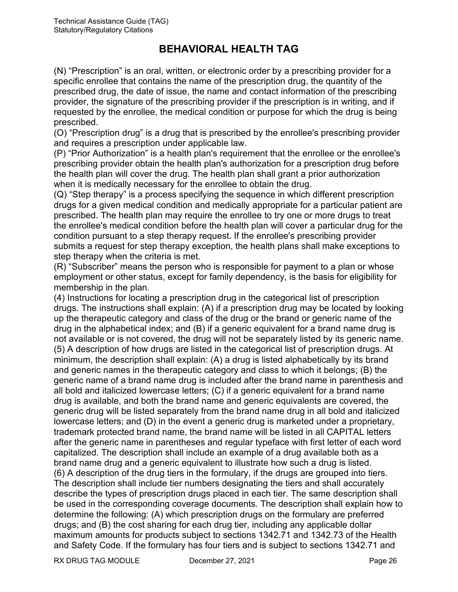(N) "Prescription" is an oral, written, or electronic order by a prescribing provider for a specific enrollee that contains the name of the prescription drug, the quantity of the prescribed drug, the date of issue, the name and contact information of the prescribing provider, the signature of the prescribing provider if the prescription is in writing, and if requested by the enrollee, the medical condition or purpose for which the drug is being prescribed.

(O) "Prescription drug" is a drug that is prescribed by the enrollee's prescribing provider and requires a prescription under applicable law.

(P) "Prior Authorization" is a health plan's requirement that the enrollee or the enrollee's prescribing provider obtain the health plan's authorization for a prescription drug before the health plan will cover the drug. The health plan shall grant a prior authorization when it is medically necessary for the enrollee to obtain the drug.

(Q) "Step therapy" is a process specifying the sequence in which different prescription drugs for a given medical condition and medically appropriate for a particular patient are prescribed. The health plan may require the enrollee to try one or more drugs to treat the enrollee's medical condition before the health plan will cover a particular drug for the condition pursuant to a step therapy request. If the enrollee's prescribing provider submits a request for step therapy exception, the health plans shall make exceptions to step therapy when the criteria is met.

(R) "Subscriber" means the person who is responsible for payment to a plan or whose employment or other status, except for family dependency, is the basis for eligibility for membership in the plan.

(4) Instructions for locating a prescription drug in the categorical list of prescription drugs. The instructions shall explain: (A) if a prescription drug may be located by looking up the therapeutic category and class of the drug or the brand or generic name of the drug in the alphabetical index; and (B) if a generic equivalent for a brand name drug is not available or is not covered, the drug will not be separately listed by its generic name. (5) A description of how drugs are listed in the categorical list of prescription drugs. At minimum, the description shall explain: (A) a drug is listed alphabetically by its brand and generic names in the therapeutic category and class to which it belongs; (B) the generic name of a brand name drug is included after the brand name in parenthesis and all bold and italicized lowercase letters; (C) if a generic equivalent for a brand name drug is available, and both the brand name and generic equivalents are covered, the generic drug will be listed separately from the brand name drug in all bold and italicized lowercase letters; and (D) in the event a generic drug is marketed under a proprietary, trademark protected brand name, the brand name will be listed in all CAPITAL letters after the generic name in parentheses and regular typeface with first letter of each word capitalized. The description shall include an example of a drug available both as a brand name drug and a generic equivalent to illustrate how such a drug is listed. (6) A description of the drug tiers in the formulary, if the drugs are grouped into tiers. The description shall include tier numbers designating the tiers and shall accurately describe the types of prescription drugs placed in each tier. The same description shall be used in the corresponding coverage documents. The description shall explain how to determine the following: (A) which prescription drugs on the formulary are preferred drugs; and (B) the cost sharing for each drug tier, including any applicable dollar maximum amounts for products subject to sections 1342.71 and 1342.73 of the Health and Safety Code. If the formulary has four tiers and is subject to sections 1342.71 and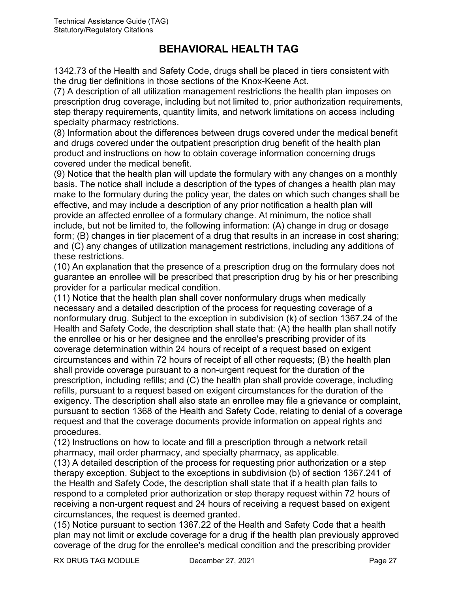1342.73 of the Health and Safety Code, drugs shall be placed in tiers consistent with the drug tier definitions in those sections of the Knox-Keene Act.

(7) A description of all utilization management restrictions the health plan imposes on prescription drug coverage, including but not limited to, prior authorization requirements, step therapy requirements, quantity limits, and network limitations on access including specialty pharmacy restrictions.

(8) Information about the differences between drugs covered under the medical benefit and drugs covered under the outpatient prescription drug benefit of the health plan product and instructions on how to obtain coverage information concerning drugs covered under the medical benefit.

(9) Notice that the health plan will update the formulary with any changes on a monthly basis. The notice shall include a description of the types of changes a health plan may make to the formulary during the policy year, the dates on which such changes shall be effective, and may include a description of any prior notification a health plan will provide an affected enrollee of a formulary change. At minimum, the notice shall include, but not be limited to, the following information: (A) change in drug or dosage form; (B) changes in tier placement of a drug that results in an increase in cost sharing; and (C) any changes of utilization management restrictions, including any additions of these restrictions.

(10) An explanation that the presence of a prescription drug on the formulary does not guarantee an enrollee will be prescribed that prescription drug by his or her prescribing provider for a particular medical condition.

(11) Notice that the health plan shall cover nonformulary drugs when medically necessary and a detailed description of the process for requesting coverage of a nonformulary drug. Subject to the exception in subdivision (k) of section 1367.24 of the Health and Safety Code, the description shall state that: (A) the health plan shall notify the enrollee or his or her designee and the enrollee's prescribing provider of its coverage determination within 24 hours of receipt of a request based on exigent circumstances and within 72 hours of receipt of all other requests; (B) the health plan shall provide coverage pursuant to a non-urgent request for the duration of the prescription, including refills; and (C) the health plan shall provide coverage, including refills, pursuant to a request based on exigent circumstances for the duration of the exigency. The description shall also state an enrollee may file a grievance or complaint, pursuant to section 1368 of the Health and Safety Code, relating to denial of a coverage request and that the coverage documents provide information on appeal rights and procedures.

(12) Instructions on how to locate and fill a prescription through a network retail pharmacy, mail order pharmacy, and specialty pharmacy, as applicable.

(13) A detailed description of the process for requesting prior authorization or a step therapy exception. Subject to the exceptions in subdivision (b) of section 1367.241 of the Health and Safety Code, the description shall state that if a health plan fails to respond to a completed prior authorization or step therapy request within 72 hours of receiving a non-urgent request and 24 hours of receiving a request based on exigent circumstances, the request is deemed granted.

(15) Notice pursuant to section 1367.22 of the Health and Safety Code that a health plan may not limit or exclude coverage for a drug if the health plan previously approved coverage of the drug for the enrollee's medical condition and the prescribing provider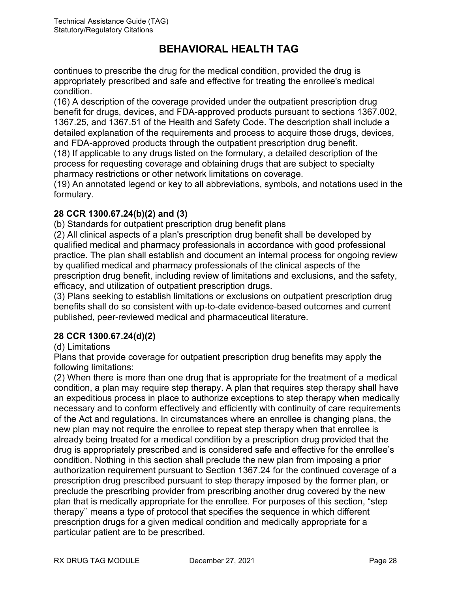continues to prescribe the drug for the medical condition, provided the drug is appropriately prescribed and safe and effective for treating the enrollee's medical condition.

(16) A description of the coverage provided under the outpatient prescription drug benefit for drugs, devices, and FDA-approved products pursuant to sections 1367.002, 1367.25, and 1367.51 of the Health and Safety Code. The description shall include a detailed explanation of the requirements and process to acquire those drugs, devices, and FDA-approved products through the outpatient prescription drug benefit.

(18) If applicable to any drugs listed on the formulary, a detailed description of the process for requesting coverage and obtaining drugs that are subject to specialty pharmacy restrictions or other network limitations on coverage.

(19) An annotated legend or key to all abbreviations, symbols, and notations used in the formulary.

#### **28 CCR 1300.67.24(b)(2) and (3)**

(b) Standards for outpatient prescription drug benefit plans

(2) All clinical aspects of a plan's prescription drug benefit shall be developed by qualified medical and pharmacy professionals in accordance with good professional practice. The plan shall establish and document an internal process for ongoing review by qualified medical and pharmacy professionals of the clinical aspects of the prescription drug benefit, including review of limitations and exclusions, and the safety, efficacy, and utilization of outpatient prescription drugs.

(3) Plans seeking to establish limitations or exclusions on outpatient prescription drug benefits shall do so consistent with up-to-date evidence-based outcomes and current published, peer-reviewed medical and pharmaceutical literature.

#### **28 CCR 1300.67.24(d)(2)**

#### (d) Limitations

Plans that provide coverage for outpatient prescription drug benefits may apply the following limitations:

(2) When there is more than one drug that is appropriate for the treatment of a medical condition, a plan may require step therapy. A plan that requires step therapy shall have an expeditious process in place to authorize exceptions to step therapy when medically necessary and to conform effectively and efficiently with continuity of care requirements of the Act and regulations. In circumstances where an enrollee is changing plans, the new plan may not require the enrollee to repeat step therapy when that enrollee is already being treated for a medical condition by a prescription drug provided that the drug is appropriately prescribed and is considered safe and effective for the enrollee's condition. Nothing in this section shall preclude the new plan from imposing a prior authorization requirement pursuant to Section 1367.24 for the continued coverage of a prescription drug prescribed pursuant to step therapy imposed by the former plan, or preclude the prescribing provider from prescribing another drug covered by the new plan that is medically appropriate for the enrollee. For purposes of this section, "step therapy'' means a type of protocol that specifies the sequence in which different prescription drugs for a given medical condition and medically appropriate for a particular patient are to be prescribed.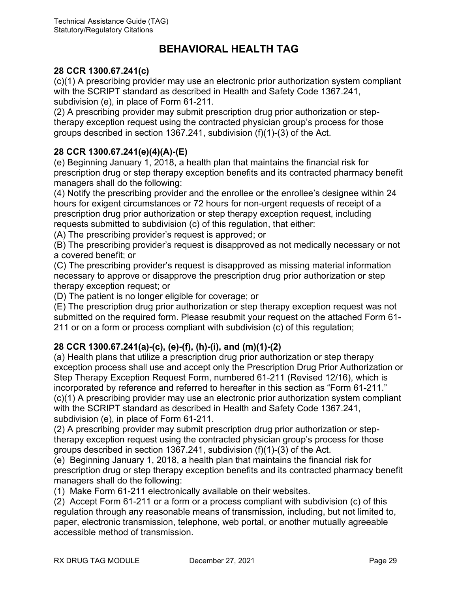#### **28 CCR 1300.67.241(c)**

(c)(1) A prescribing provider may use an electronic prior authorization system compliant with the SCRIPT standard as described in Health and Safety Code 1367.241, subdivision (e), in place of Form 61-211.

(2) A prescribing provider may submit prescription drug prior authorization or steptherapy exception request using the contracted physician group's process for those groups described in section 1367.241, subdivision (f)(1)-(3) of the Act.

#### **28 CCR 1300.67.241(e)(4)(A)-(E)**

(e) Beginning January 1, 2018, a health plan that maintains the financial risk for prescription drug or step therapy exception benefits and its contracted pharmacy benefit managers shall do the following:

(4) Notify the prescribing provider and the enrollee or the enrollee's designee within 24 hours for exigent circumstances or 72 hours for non-urgent requests of receipt of a prescription drug prior authorization or step therapy exception request, including requests submitted to subdivision (c) of this regulation, that either:

(A) The prescribing provider's request is approved; or

(B) The prescribing provider's request is disapproved as not medically necessary or not a covered benefit; or

(C) The prescribing provider's request is disapproved as missing material information necessary to approve or disapprove the prescription drug prior authorization or step therapy exception request; or

(D) The patient is no longer eligible for coverage; or

(E) The prescription drug prior authorization or step therapy exception request was not submitted on the required form. Please resubmit your request on the attached Form 61- 211 or on a form or process compliant with subdivision (c) of this regulation;

#### **28 CCR 1300.67.241(a)-(c), (e)-(f), (h)-(i), and (m)(1)-(2)**

(a) Health plans that utilize a prescription drug prior authorization or step therapy exception process shall use and accept only the Prescription Drug Prior Authorization or Step Therapy Exception Request Form, numbered 61-211 (Revised 12/16), which is incorporated by reference and referred to hereafter in this section as "Form 61-211." (c)(1) A prescribing provider may use an electronic prior authorization system compliant with the SCRIPT standard as described in Health and Safety Code 1367.241, subdivision (e), in place of Form 61-211.

(2) A prescribing provider may submit prescription drug prior authorization or steptherapy exception request using the contracted physician group's process for those groups described in section 1367.241, subdivision (f)(1)-(3) of the Act.

(e) Beginning January 1, 2018, a health plan that maintains the financial risk for prescription drug or step therapy exception benefits and its contracted pharmacy benefit managers shall do the following:

(1) Make Form 61-211 electronically available on their websites.

(2) Accept Form 61-211 or a form or a process compliant with subdivision (c) of this regulation through any reasonable means of transmission, including, but not limited to, paper, electronic transmission, telephone, web portal, or another mutually agreeable accessible method of transmission.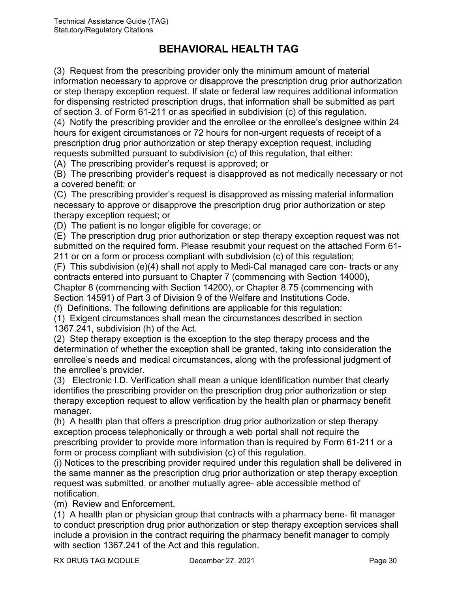(3) Request from the prescribing provider only the minimum amount of material information necessary to approve or disapprove the prescription drug prior authorization or step therapy exception request. If state or federal law requires additional information for dispensing restricted prescription drugs, that information shall be submitted as part of section 3. of Form 61-211 or as specified in subdivision (c) of this regulation.

(4) Notify the prescribing provider and the enrollee or the enrollee's designee within 24 hours for exigent circumstances or 72 hours for non-urgent requests of receipt of a prescription drug prior authorization or step therapy exception request, including requests submitted pursuant to subdivision (c) of this regulation, that either:

(A) The prescribing provider's request is approved; or

(B) The prescribing provider's request is disapproved as not medically necessary or not a covered benefit; or

(C) The prescribing provider's request is disapproved as missing material information necessary to approve or disapprove the prescription drug prior authorization or step therapy exception request; or

(D) The patient is no longer eligible for coverage; or

(E) The prescription drug prior authorization or step therapy exception request was not submitted on the required form. Please resubmit your request on the attached Form 61- 211 or on a form or process compliant with subdivision (c) of this regulation;

(F) This subdivision (e)(4) shall not apply to Medi-Cal managed care con- tracts or any contracts entered into pursuant to Chapter 7 (commencing with Section 14000), Chapter 8 (commencing with Section 14200), or Chapter 8.75 (commencing with Section 14591) of Part 3 of Division 9 of the Welfare and Institutions Code.

(f) Definitions. The following definitions are applicable for this regulation:

(1) Exigent circumstances shall mean the circumstances described in section 1367.241, subdivision (h) of the Act.

(2) Step therapy exception is the exception to the step therapy process and the determination of whether the exception shall be granted, taking into consideration the enrollee's needs and medical circumstances, along with the professional judgment of the enrollee's provider.

(3) Electronic I.D. Verification shall mean a unique identification number that clearly identifies the prescribing provider on the prescription drug prior authorization or step therapy exception request to allow verification by the health plan or pharmacy benefit manager.

(h) A health plan that offers a prescription drug prior authorization or step therapy exception process telephonically or through a web portal shall not require the prescribing provider to provide more information than is required by Form 61-211 or a form or process compliant with subdivision (c) of this regulation.

(i) Notices to the prescribing provider required under this regulation shall be delivered in the same manner as the prescription drug prior authorization or step therapy exception request was submitted, or another mutually agree- able accessible method of notification.

(m) Review and Enforcement.

(1) A health plan or physician group that contracts with a pharmacy bene- fit manager to conduct prescription drug prior authorization or step therapy exception services shall include a provision in the contract requiring the pharmacy benefit manager to comply with section 1367.241 of the Act and this regulation.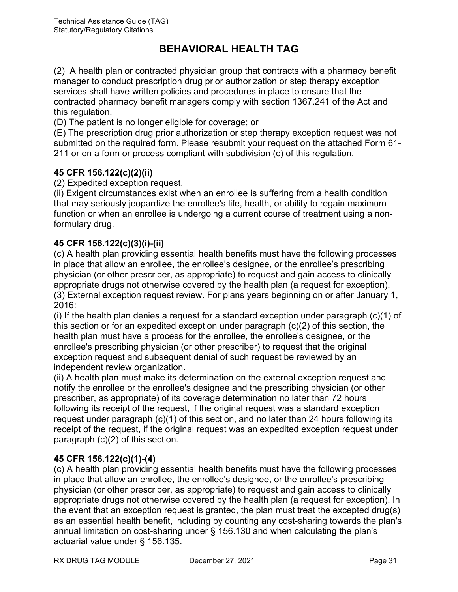(2) A health plan or contracted physician group that contracts with a pharmacy benefit manager to conduct prescription drug prior authorization or step therapy exception services shall have written policies and procedures in place to ensure that the contracted pharmacy benefit managers comply with section 1367.241 of the Act and this regulation.

(D) The patient is no longer eligible for coverage; or

(E) The prescription drug prior authorization or step therapy exception request was not submitted on the required form. Please resubmit your request on the attached Form 61- 211 or on a form or process compliant with subdivision (c) of this regulation.

#### **45 CFR 156.122(c)(2)(ii)**

(2) Expedited exception request.

(ii) Exigent circumstances exist when an enrollee is suffering from a health condition that may seriously jeopardize the enrollee's life, health, or ability to regain maximum function or when an enrollee is undergoing a current course of treatment using a nonformulary drug.

#### **45 CFR 156.122(c)(3)(i)-(ii)**

(c) A health plan providing essential health benefits must have the following processes in place that allow an enrollee, the enrollee's designee, or the enrollee's prescribing physician (or other prescriber, as appropriate) to request and gain access to clinically appropriate drugs not otherwise covered by the health plan (a request for exception). (3) External exception request review. For plans years beginning on or after January 1, 2016:

(i) If the health plan denies a request for a standard exception under paragraph  $(c)(1)$  of this section or for an expedited exception under paragraph (c)(2) of this section, the health plan must have a process for the enrollee, the enrollee's designee, or the enrollee's prescribing physician (or other prescriber) to request that the original exception request and subsequent denial of such request be reviewed by an independent review organization.

(ii) A health plan must make its determination on the external exception request and notify the enrollee or the enrollee's designee and the prescribing physician (or other prescriber, as appropriate) of its coverage determination no later than 72 hours following its receipt of the request, if the original request was a standard exception request under paragraph (c)(1) of this section, and no later than 24 hours following its receipt of the request, if the original request was an expedited exception request under paragraph (c)(2) of this section.

#### **45 CFR 156.122(c)(1)-(4)**

(c) A health [plan](https://www.law.cornell.edu/definitions/index.php?width=840&height=800&iframe=true&def_id=2b74e43866fc5b8f1f15155c434c7c1d&term_occur=5&term_src=Title:45:Chapter:A:Subchapter:B:Part:156:Subpart:B:156.122) providing essential [health benefits](https://www.law.cornell.edu/definitions/index.php?width=840&height=800&iframe=true&def_id=7877abaa9ca0f28a97952f38d3912949&term_occur=2&term_src=Title:45:Chapter:A:Subchapter:B:Part:156:Subpart:B:156.122) must have the following processes in place that allow an enrollee, the enrollee's designee, or the enrollee's prescribing physician (or other prescriber, as appropriate) to request and gain access to clinically appropriate drugs not otherwise covered by the health [plan](https://www.law.cornell.edu/definitions/index.php?width=840&height=800&iframe=true&def_id=2b74e43866fc5b8f1f15155c434c7c1d&term_occur=6&term_src=Title:45:Chapter:A:Subchapter:B:Part:156:Subpart:B:156.122) (a request for exception). In the event that an exception request is granted, the [plan](https://www.law.cornell.edu/definitions/index.php?width=840&height=800&iframe=true&def_id=2b74e43866fc5b8f1f15155c434c7c1d&term_occur=7&term_src=Title:45:Chapter:A:Subchapter:B:Part:156:Subpart:B:156.122) must treat the excepted drug(s) as an essential health benefit, including by counting any [cost-sharing](https://www.law.cornell.edu/definitions/index.php?width=840&height=800&iframe=true&def_id=e1f5711583740ee22a04dfe8ffe74390&term_occur=1&term_src=Title:45:Chapter:A:Subchapter:B:Part:156:Subpart:B:156.122) towards the [plan'](https://www.law.cornell.edu/definitions/index.php?width=840&height=800&iframe=true&def_id=2b74e43866fc5b8f1f15155c434c7c1d&term_occur=8&term_src=Title:45:Chapter:A:Subchapter:B:Part:156:Subpart:B:156.122)s annual limitation on [cost-sharing](https://www.law.cornell.edu/definitions/index.php?width=840&height=800&iframe=true&def_id=e1f5711583740ee22a04dfe8ffe74390&term_occur=2&term_src=Title:45:Chapter:A:Subchapter:B:Part:156:Subpart:B:156.122) under [§ 156.130](https://www.law.cornell.edu/cfr/text/45/156.130) and when calculating the [plan's](https://www.law.cornell.edu/definitions/index.php?width=840&height=800&iframe=true&def_id=2b74e43866fc5b8f1f15155c434c7c1d&term_occur=9&term_src=Title:45:Chapter:A:Subchapter:B:Part:156:Subpart:B:156.122) [actuarial value](https://www.law.cornell.edu/definitions/index.php?width=840&height=800&iframe=true&def_id=39d8949ddc2a7315c8a195cd5242d1ca&term_occur=1&term_src=Title:45:Chapter:A:Subchapter:B:Part:156:Subpart:B:156.122) under [§ 156.135.](https://www.law.cornell.edu/cfr/text/45/156.135)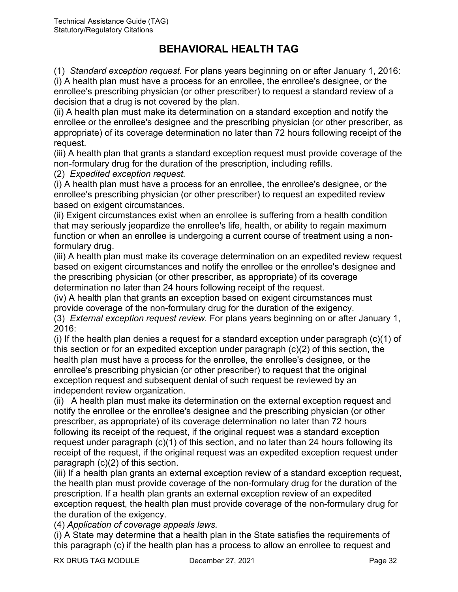(1)*Standard exception request.* For [plans](https://www.law.cornell.edu/definitions/index.php?width=840&height=800&iframe=true&def_id=2b74e43866fc5b8f1f15155c434c7c1d&term_occur=10&term_src=Title:45:Chapter:A:Subchapter:B:Part:156:Subpart:B:156.122) years beginning on or after January 1, 2016: (i) A health [plan](https://www.law.cornell.edu/definitions/index.php?width=840&height=800&iframe=true&def_id=2b74e43866fc5b8f1f15155c434c7c1d&term_occur=11&term_src=Title:45:Chapter:A:Subchapter:B:Part:156:Subpart:B:156.122) must have a process for an enrollee, the enrollee's designee, or the enrollee's prescribing physician (or other prescriber) to request a standard review of a decision that a drug is not covered by the [plan.](https://www.law.cornell.edu/definitions/index.php?width=840&height=800&iframe=true&def_id=2b74e43866fc5b8f1f15155c434c7c1d&term_occur=12&term_src=Title:45:Chapter:A:Subchapter:B:Part:156:Subpart:B:156.122)

(ii) A health [plan](https://www.law.cornell.edu/definitions/index.php?width=840&height=800&iframe=true&def_id=2b74e43866fc5b8f1f15155c434c7c1d&term_occur=13&term_src=Title:45:Chapter:A:Subchapter:B:Part:156:Subpart:B:156.122) must make its determination on a standard exception and notify the enrollee or the enrollee's designee and the prescribing physician (or other prescriber, as appropriate) of its coverage determination no later than 72 hours following receipt of the request.

(iii) A health [plan](https://www.law.cornell.edu/definitions/index.php?width=840&height=800&iframe=true&def_id=2b74e43866fc5b8f1f15155c434c7c1d&term_occur=14&term_src=Title:45:Chapter:A:Subchapter:B:Part:156:Subpart:B:156.122) that grants a standard exception request must provide coverage of the non-formulary drug for the duration of the prescription, including refills.

(2) *Expedited exception request.*

(i) A health [plan](https://www.law.cornell.edu/definitions/index.php?width=840&height=800&iframe=true&def_id=2b74e43866fc5b8f1f15155c434c7c1d&term_occur=15&term_src=Title:45:Chapter:A:Subchapter:B:Part:156:Subpart:B:156.122) must have a process for an enrollee, the enrollee's designee, or the enrollee's prescribing physician (or other prescriber) to request an expedited review based on exigent circumstances.

(ii) Exigent circumstances exist when an enrollee is suffering from a health [condition](https://www.law.cornell.edu/definitions/index.php?width=840&height=800&iframe=true&def_id=7534aa4414c62d31b280cea73618c915&term_occur=1&term_src=Title:45:Chapter:A:Subchapter:B:Part:156:Subpart:B:156.122) that may seriously jeopardize the enrollee's life, health, or ability to regain maximum function or when an enrollee is undergoing a current course of treatment using a nonformulary drug.

(iii) A health [plan](https://www.law.cornell.edu/definitions/index.php?width=840&height=800&iframe=true&def_id=2b74e43866fc5b8f1f15155c434c7c1d&term_occur=16&term_src=Title:45:Chapter:A:Subchapter:B:Part:156:Subpart:B:156.122) must make its coverage determination on an expedited review request based on exigent circumstances and notify the enrollee or the enrollee's designee and the prescribing physician (or other prescriber, as appropriate) of its coverage determination no later than 24 hours following receipt of the request.

(iv) A health [plan](https://www.law.cornell.edu/definitions/index.php?width=840&height=800&iframe=true&def_id=2b74e43866fc5b8f1f15155c434c7c1d&term_occur=17&term_src=Title:45:Chapter:A:Subchapter:B:Part:156:Subpart:B:156.122) that grants an exception based on exigent circumstances must provide coverage of the non-formulary drug for the duration of the exigency.

(3)*External exception request review.* For [plans](https://www.law.cornell.edu/definitions/index.php?width=840&height=800&iframe=true&def_id=2b74e43866fc5b8f1f15155c434c7c1d&term_occur=18&term_src=Title:45:Chapter:A:Subchapter:B:Part:156:Subpart:B:156.122) years beginning on or after January 1, 2016:

(i) If the health [plan](https://www.law.cornell.edu/definitions/index.php?width=840&height=800&iframe=true&def_id=2b74e43866fc5b8f1f15155c434c7c1d&term_occur=19&term_src=Title:45:Chapter:A:Subchapter:B:Part:156:Subpart:B:156.122) denies a request for a standard exception under paragraph  $(c)(1)$  of this section or for an expedited exception under [paragraph \(c\)\(2\)](https://www.law.cornell.edu/cfr/text/45/156.122#c_2) of this section, the health [plan](https://www.law.cornell.edu/definitions/index.php?width=840&height=800&iframe=true&def_id=2b74e43866fc5b8f1f15155c434c7c1d&term_occur=20&term_src=Title:45:Chapter:A:Subchapter:B:Part:156:Subpart:B:156.122) must have a process for the enrollee, the enrollee's designee, or the enrollee's prescribing physician (or other prescriber) to request that the original exception request and subsequent denial of such request be reviewed by an independent review organization.

(ii) A health [plan](https://www.law.cornell.edu/definitions/index.php?width=840&height=800&iframe=true&def_id=2b74e43866fc5b8f1f15155c434c7c1d&term_occur=21&term_src=Title:45:Chapter:A:Subchapter:B:Part:156:Subpart:B:156.122) must make its determination on the external exception request and notify the enrollee or the enrollee's designee and the prescribing physician (or other prescriber, as appropriate) of its coverage determination no later than 72 hours following its receipt of the request, if the original request was a standard exception request under [paragraph \(c\)\(1\)](https://www.law.cornell.edu/cfr/text/45/156.122#c_1) of this section, and no later than 24 hours following its receipt of the request, if the original request was an expedited exception request under [paragraph \(c\)\(2\)](https://www.law.cornell.edu/cfr/text/45/156.122#c_2) of this section.

(iii) If a health [plan](https://www.law.cornell.edu/definitions/index.php?width=840&height=800&iframe=true&def_id=2b74e43866fc5b8f1f15155c434c7c1d&term_occur=22&term_src=Title:45:Chapter:A:Subchapter:B:Part:156:Subpart:B:156.122) grants an external exception review of a standard exception request, the health [plan](https://www.law.cornell.edu/definitions/index.php?width=840&height=800&iframe=true&def_id=2b74e43866fc5b8f1f15155c434c7c1d&term_occur=23&term_src=Title:45:Chapter:A:Subchapter:B:Part:156:Subpart:B:156.122) must provide coverage of the non-formulary drug for the duration of the prescription. If a health [plan](https://www.law.cornell.edu/definitions/index.php?width=840&height=800&iframe=true&def_id=2b74e43866fc5b8f1f15155c434c7c1d&term_occur=24&term_src=Title:45:Chapter:A:Subchapter:B:Part:156:Subpart:B:156.122) grants an external exception review of an expedited exception request, the health [plan](https://www.law.cornell.edu/definitions/index.php?width=840&height=800&iframe=true&def_id=2b74e43866fc5b8f1f15155c434c7c1d&term_occur=25&term_src=Title:45:Chapter:A:Subchapter:B:Part:156:Subpart:B:156.122) must provide coverage of the non-formulary drug for the duration of the exigency.

(4) *Application of coverage appeals laws.*

(i) A [State](https://www.law.cornell.edu/definitions/index.php?width=840&height=800&iframe=true&def_id=8d9629d585bd46c22375f1e87dfcd90e&term_occur=3&term_src=Title:45:Chapter:A:Subchapter:B:Part:156:Subpart:B:156.122) may determine that a health [plan](https://www.law.cornell.edu/definitions/index.php?width=840&height=800&iframe=true&def_id=2b74e43866fc5b8f1f15155c434c7c1d&term_occur=26&term_src=Title:45:Chapter:A:Subchapter:B:Part:156:Subpart:B:156.122) in the [State](https://www.law.cornell.edu/definitions/index.php?width=840&height=800&iframe=true&def_id=8d9629d585bd46c22375f1e87dfcd90e&term_occur=4&term_src=Title:45:Chapter:A:Subchapter:B:Part:156:Subpart:B:156.122) satisfies the requirements of this paragraph (c) if the health [plan](https://www.law.cornell.edu/definitions/index.php?width=840&height=800&iframe=true&def_id=2b74e43866fc5b8f1f15155c434c7c1d&term_occur=27&term_src=Title:45:Chapter:A:Subchapter:B:Part:156:Subpart:B:156.122) has a process to allow an enrollee to request and